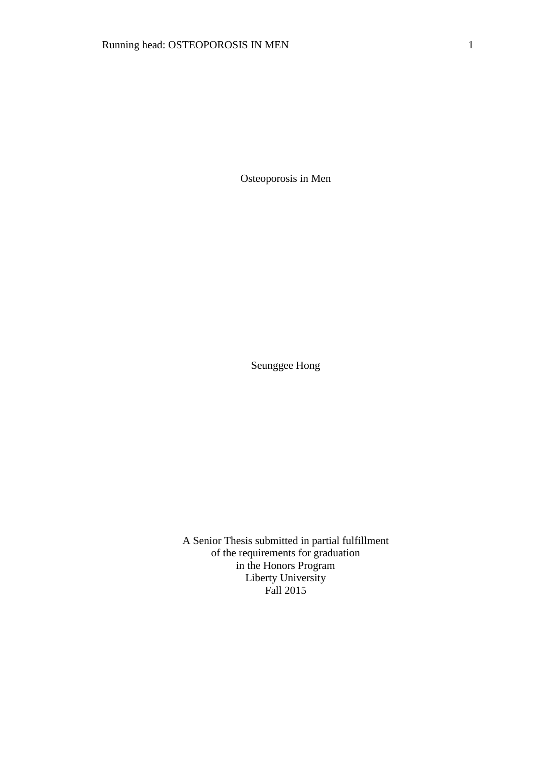Osteoporosis in Men

Seunggee Hong

A Senior Thesis submitted in partial fulfillment of the requirements for graduation in the Honors Program Liberty University Fall 2015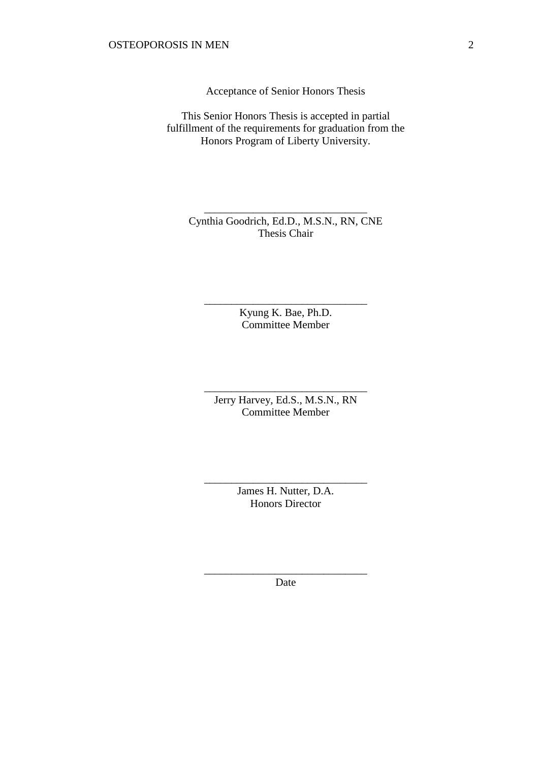Acceptance of Senior Honors Thesis

This Senior Honors Thesis is accepted in partial fulfillment of the requirements for graduation from the Honors Program of Liberty University.

Cynthia Goodrich, Ed.D., M.S.N., RN, CNE Thesis Chair

\_\_\_\_\_\_\_\_\_\_\_\_\_\_\_\_\_\_\_\_\_\_\_\_\_\_\_\_\_\_

Kyung K. Bae, Ph.D. Committee Member

\_\_\_\_\_\_\_\_\_\_\_\_\_\_\_\_\_\_\_\_\_\_\_\_\_\_\_\_\_\_

Jerry Harvey, Ed.S., M.S.N., RN Committee Member

\_\_\_\_\_\_\_\_\_\_\_\_\_\_\_\_\_\_\_\_\_\_\_\_\_\_\_\_\_\_

James H. Nutter, D.A. Honors Director

\_\_\_\_\_\_\_\_\_\_\_\_\_\_\_\_\_\_\_\_\_\_\_\_\_\_\_\_\_\_

\_\_\_\_\_\_\_\_\_\_\_\_\_\_\_\_\_\_\_\_\_\_\_\_\_\_\_\_\_\_ Date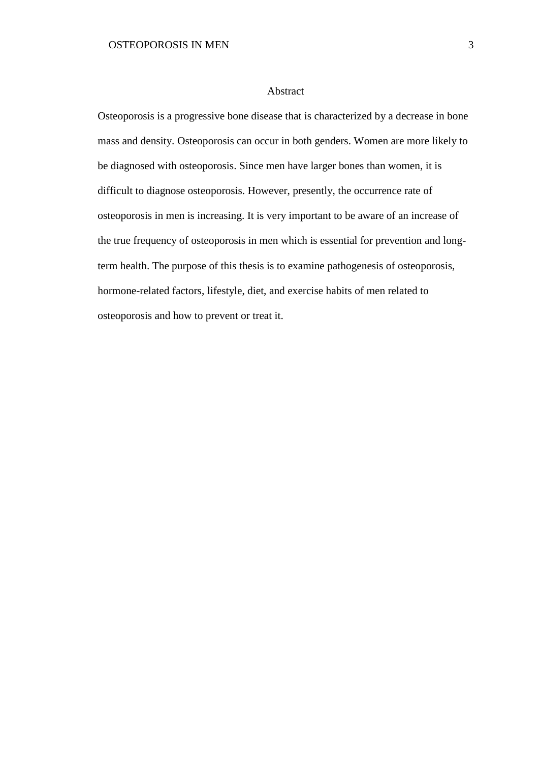#### Abstract

Osteoporosis is a progressive bone disease that is characterized by a decrease in bone mass and density. Osteoporosis can occur in both genders. Women are more likely to be diagnosed with osteoporosis. Since men have larger bones than women, it is difficult to diagnose osteoporosis. However, presently, the occurrence rate of osteoporosis in men is increasing. It is very important to be aware of an increase of the true frequency of osteoporosis in men which is essential for prevention and longterm health. The purpose of this thesis is to examine pathogenesis of osteoporosis, hormone-related factors, lifestyle, diet, and exercise habits of men related to osteoporosis and how to prevent or treat it.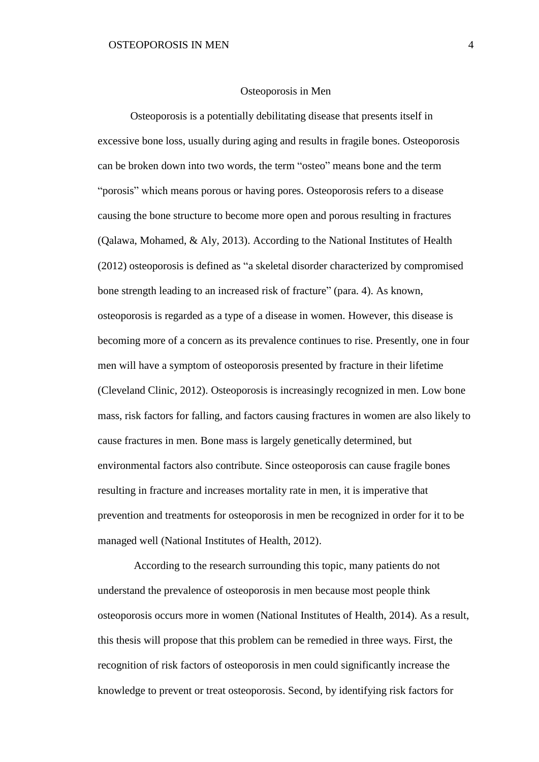#### Osteoporosis in Men

Osteoporosis is a potentially debilitating disease that presents itself in excessive bone loss, usually during aging and results in fragile bones. Osteoporosis can be broken down into two words, the term "osteo" means bone and the term "porosis" which means porous or having pores. Osteoporosis refers to a disease causing the bone structure to become more open and porous resulting in fractures (Qalawa, Mohamed, & Aly, 2013). According to the National Institutes of Health (2012) osteoporosis is defined as "a skeletal disorder characterized by compromised bone strength leading to an increased risk of fracture" (para. 4). As known, osteoporosis is regarded as a type of a disease in women. However, this disease is becoming more of a concern as its prevalence continues to rise. Presently, one in four men will have a symptom of osteoporosis presented by fracture in their lifetime (Cleveland Clinic, 2012). Osteoporosis is increasingly recognized in men. Low bone mass, risk factors for falling, and factors causing fractures in women are also likely to cause fractures in men. Bone mass is largely genetically determined, but environmental factors also contribute. Since osteoporosis can cause fragile bones resulting in fracture and increases mortality rate in men, it is imperative that prevention and treatments for osteoporosis in men be recognized in order for it to be managed well (National Institutes of Health, 2012).

According to the research surrounding this topic, many patients do not understand the prevalence of osteoporosis in men because most people think osteoporosis occurs more in women (National Institutes of Health, 2014). As a result, this thesis will propose that this problem can be remedied in three ways. First, the recognition of risk factors of osteoporosis in men could significantly increase the knowledge to prevent or treat osteoporosis. Second, by identifying risk factors for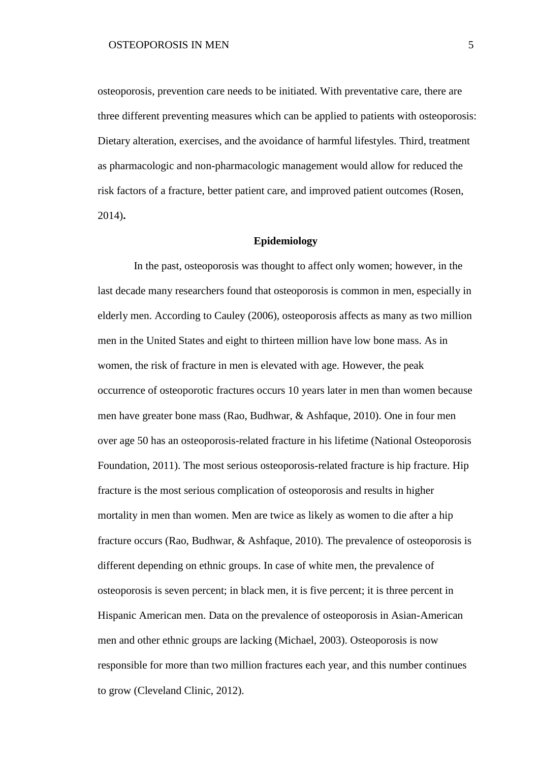osteoporosis, prevention care needs to be initiated. With preventative care, there are three different preventing measures which can be applied to patients with osteoporosis: Dietary alteration, exercises, and the avoidance of harmful lifestyles. Third, treatment as pharmacologic and non-pharmacologic management would allow for reduced the risk factors of a fracture, better patient care, and improved patient outcomes (Rosen, 2014)**.** 

## **Epidemiology**

In the past, osteoporosis was thought to affect only women; however, in the last decade many researchers found that osteoporosis is common in men, especially in elderly men. According to Cauley (2006), osteoporosis affects as many as two million men in the United States and eight to thirteen million have low bone mass. As in women, the risk of fracture in men is elevated with age. However, the peak occurrence of osteoporotic fractures occurs 10 years later in men than women because men have greater bone mass (Rao, Budhwar, & Ashfaque, 2010). One in four men over age 50 has an osteoporosis-related fracture in his lifetime (National Osteoporosis Foundation, 2011). The most serious osteoporosis-related fracture is hip fracture. Hip fracture is the most serious complication of osteoporosis and results in higher mortality in men than women. Men are twice as likely as women to die after a hip fracture occurs (Rao, Budhwar, & Ashfaque, 2010). The prevalence of osteoporosis is different depending on ethnic groups. In case of white men, the prevalence of osteoporosis is seven percent; in black men, it is five percent; it is three percent in Hispanic American men. Data on the prevalence of osteoporosis in Asian-American men and other ethnic groups are lacking (Michael, 2003). Osteoporosis is now responsible for more than two million fractures each year, and this number continues to grow (Cleveland Clinic, 2012).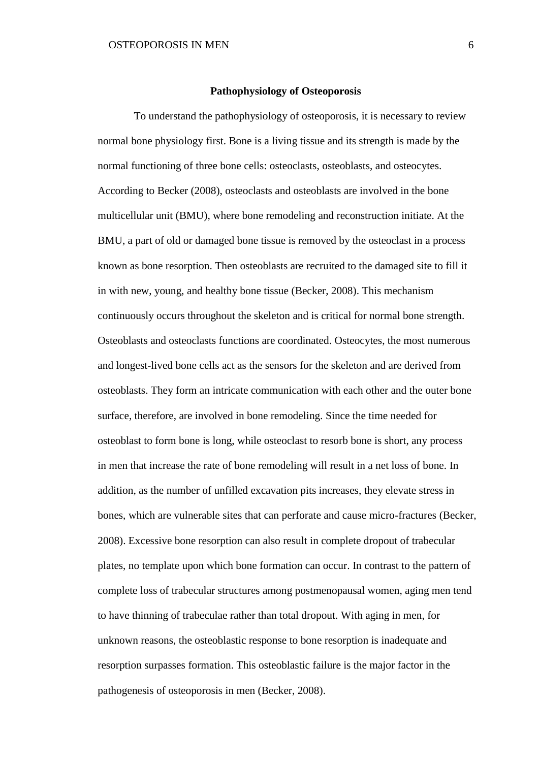## **Pathophysiology of Osteoporosis**

To understand the pathophysiology of osteoporosis, it is necessary to review normal bone physiology first. Bone is a living tissue and its strength is made by the normal functioning of three bone cells: osteoclasts, osteoblasts, and osteocytes. According to Becker (2008), osteoclasts and osteoblasts are involved in the bone multicellular unit (BMU), where bone remodeling and reconstruction initiate. At the BMU, a part of old or damaged bone tissue is removed by the osteoclast in a process known as bone resorption. Then osteoblasts are recruited to the damaged site to fill it in with new, young, and healthy bone tissue (Becker, 2008). This mechanism continuously occurs throughout the skeleton and is critical for normal bone strength. Osteoblasts and osteoclasts functions are coordinated. Osteocytes, the most numerous and longest-lived bone cells act as the sensors for the skeleton and are derived from osteoblasts. They form an intricate communication with each other and the outer bone surface, therefore, are involved in bone remodeling. Since the time needed for osteoblast to form bone is long, while osteoclast to resorb bone is short, any process in men that increase the rate of bone remodeling will result in a net loss of bone. In addition, as the number of unfilled excavation pits increases, they elevate stress in bones, which are vulnerable sites that can perforate and cause micro-fractures (Becker, 2008). Excessive bone resorption can also result in complete dropout of trabecular plates, no template upon which bone formation can occur. In contrast to the pattern of complete loss of trabecular structures among postmenopausal women, aging men tend to have thinning of trabeculae rather than total dropout. With aging in men, for unknown reasons, the osteoblastic response to bone resorption is inadequate and resorption surpasses formation. This osteoblastic failure is the major factor in the pathogenesis of osteoporosis in men (Becker, 2008).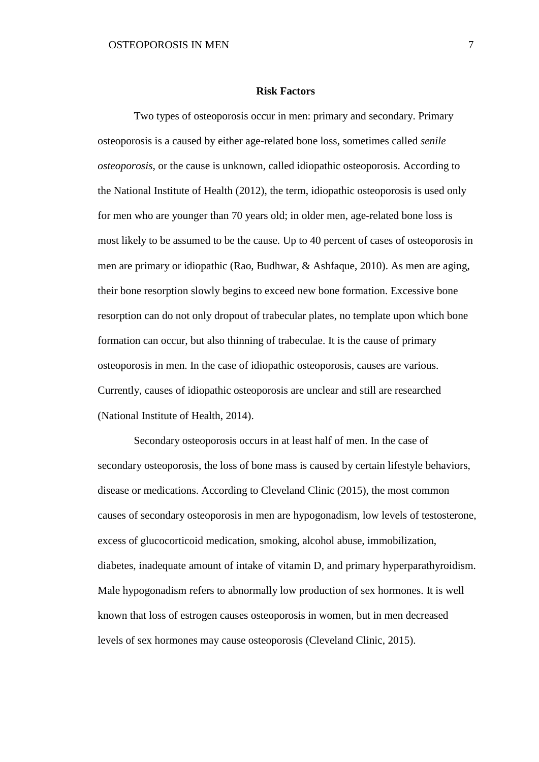### **Risk Factors**

Two types of osteoporosis occur in men: primary and secondary. Primary osteoporosis is a caused by either age-related bone loss, sometimes called *senile osteoporosis*, or the cause is unknown, called idiopathic osteoporosis. According to the National Institute of Health (2012), the term, idiopathic osteoporosis is used only for men who are younger than 70 years old; in older men, age-related bone loss is most likely to be assumed to be the cause. Up to 40 percent of cases of osteoporosis in men are primary or idiopathic (Rao, Budhwar, & Ashfaque, 2010). As men are aging, their bone resorption slowly begins to exceed new bone formation. Excessive bone resorption can do not only dropout of trabecular plates, no template upon which bone formation can occur, but also thinning of trabeculae. It is the cause of primary osteoporosis in men. In the case of idiopathic osteoporosis, causes are various. Currently, causes of idiopathic osteoporosis are unclear and still are researched (National Institute of Health, 2014).

Secondary osteoporosis occurs in at least half of men. In the case of secondary osteoporosis, the loss of bone mass is caused by certain lifestyle behaviors, disease or medications. According to Cleveland Clinic (2015), the most common causes of secondary osteoporosis in men are hypogonadism, low levels of testosterone, excess of glucocorticoid medication, smoking, alcohol abuse, immobilization, diabetes, inadequate amount of intake of vitamin D, and primary hyperparathyroidism. Male hypogonadism refers to abnormally low production of sex hormones. It is well known that loss of estrogen causes osteoporosis in women, but in men decreased levels of sex hormones may cause osteoporosis (Cleveland Clinic, 2015).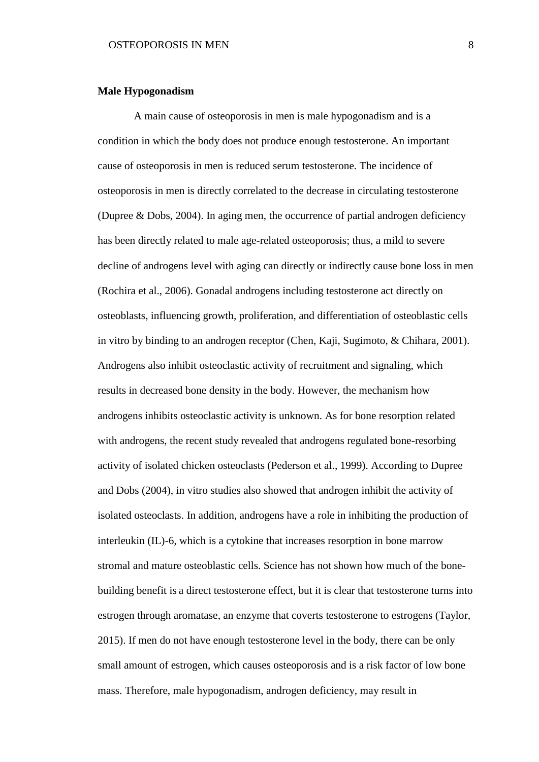## **Male Hypogonadism**

A main cause of osteoporosis in men is male hypogonadism and is a condition in which the body does not produce enough testosterone. An important cause of osteoporosis in men is reduced serum testosterone. The incidence of osteoporosis in men is directly correlated to the decrease in circulating testosterone (Dupree & Dobs, 2004). In aging men, the occurrence of partial androgen deficiency has been directly related to male age-related osteoporosis; thus, a mild to severe decline of androgens level with aging can directly or indirectly cause bone loss in men (Rochira et al., 2006). Gonadal androgens including testosterone act directly on osteoblasts, influencing growth, proliferation, and differentiation of osteoblastic cells in vitro by binding to an androgen receptor (Chen, Kaji, Sugimoto, & Chihara, 2001). Androgens also inhibit osteoclastic activity of recruitment and signaling, which results in decreased bone density in the body. However, the mechanism how androgens inhibits osteoclastic activity is unknown. As for bone resorption related with androgens, the recent study revealed that androgens regulated bone-resorbing activity of isolated chicken osteoclasts (Pederson et al., 1999). According to Dupree and Dobs (2004), in vitro studies also showed that androgen inhibit the activity of isolated osteoclasts. In addition, androgens have a role in inhibiting the production of interleukin (IL)-6, which is a cytokine that increases resorption in bone marrow stromal and mature osteoblastic cells. Science has not shown how much of the bonebuilding benefit is a direct testosterone effect, but it is clear that testosterone turns into estrogen through aromatase, an enzyme that coverts testosterone to estrogens (Taylor, 2015). If men do not have enough testosterone level in the body, there can be only small amount of estrogen, which causes osteoporosis and is a risk factor of low bone mass. Therefore, male hypogonadism, androgen deficiency, may result in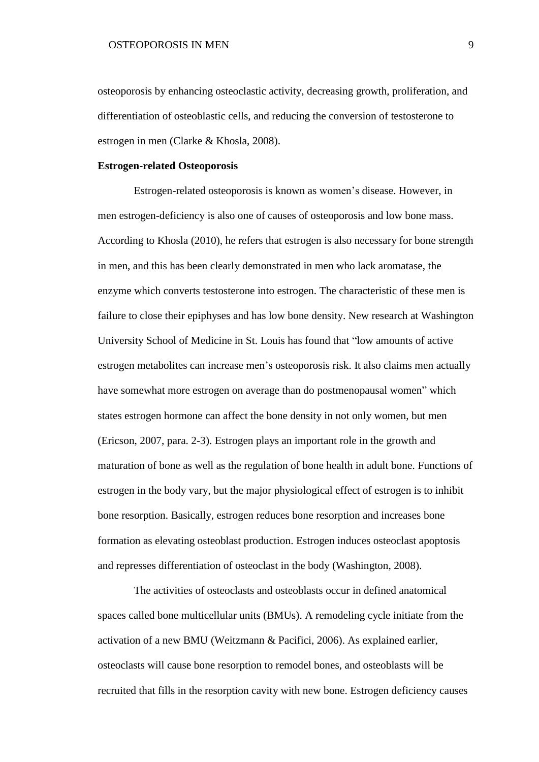osteoporosis by enhancing osteoclastic activity, decreasing growth, proliferation, and differentiation of osteoblastic cells, and reducing the conversion of testosterone to estrogen in men (Clarke & Khosla, 2008).

## **Estrogen-related Osteoporosis**

Estrogen-related osteoporosis is known as women's disease. However, in men estrogen-deficiency is also one of causes of osteoporosis and low bone mass. According to Khosla (2010), he refers that estrogen is also necessary for bone strength in men, and this has been clearly demonstrated in men who lack aromatase, the enzyme which converts testosterone into estrogen. The characteristic of these men is failure to close their epiphyses and has low bone density. New research at Washington University School of Medicine in St. Louis has found that "low amounts of active estrogen metabolites can increase men's osteoporosis risk. It also claims men actually have somewhat more estrogen on average than do postmenopausal women" which states estrogen hormone can affect the bone density in not only women, but men (Ericson, 2007, para. 2-3). Estrogen plays an important role in the growth and maturation of bone as well as the regulation of bone health in adult bone. Functions of estrogen in the body vary, but the major physiological effect of estrogen is to inhibit bone resorption. Basically, estrogen reduces bone resorption and increases bone formation as elevating osteoblast production. Estrogen induces osteoclast apoptosis and represses differentiation of osteoclast in the body (Washington, 2008).

The activities of osteoclasts and osteoblasts occur in defined anatomical spaces called bone multicellular units (BMUs). A remodeling cycle initiate from the activation of a new BMU (Weitzmann & Pacifici, 2006). As explained earlier, osteoclasts will cause bone resorption to remodel bones, and osteoblasts will be recruited that fills in the resorption cavity with new bone. Estrogen deficiency causes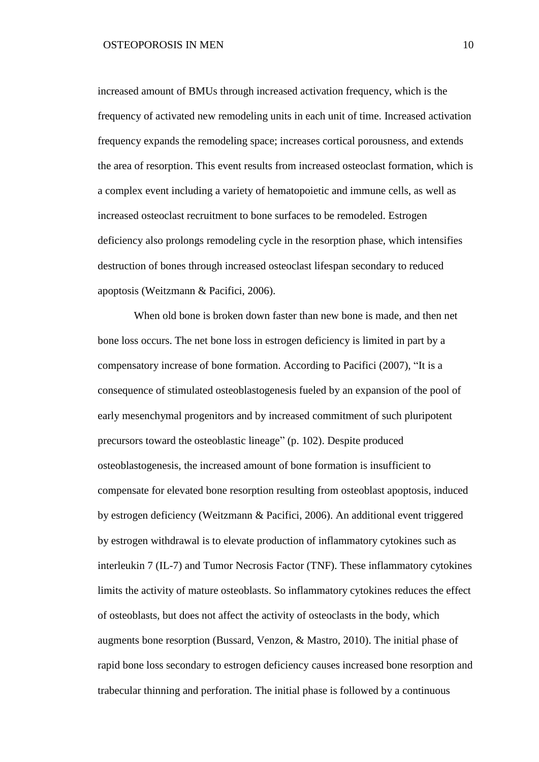increased amount of BMUs through increased activation frequency, which is the frequency of activated new remodeling units in each unit of time. Increased activation frequency expands the remodeling space; increases cortical porousness, and extends the area of resorption. This event results from increased osteoclast formation, which is a complex event including a variety of hematopoietic and immune cells, as well as increased osteoclast recruitment to bone surfaces to be remodeled. Estrogen deficiency also prolongs remodeling cycle in the resorption phase, which intensifies destruction of bones through increased osteoclast lifespan secondary to reduced apoptosis (Weitzmann & Pacifici, 2006).

When old bone is broken down faster than new bone is made, and then net bone loss occurs. The net bone loss in estrogen deficiency is limited in part by a compensatory increase of bone formation. According to Pacifici (2007), "It is a consequence of stimulated osteoblastogenesis fueled by an expansion of the pool of early mesenchymal progenitors and by increased commitment of such pluripotent precursors toward the osteoblastic lineage" (p. 102). Despite produced osteoblastogenesis, the increased amount of bone formation is insufficient to compensate for elevated bone resorption resulting from osteoblast apoptosis, induced by estrogen deficiency (Weitzmann & Pacifici, 2006). An additional event triggered by estrogen withdrawal is to elevate production of inflammatory cytokines such as interleukin 7 (IL-7) and Tumor Necrosis Factor (TNF). These inflammatory cytokines limits the activity of mature osteoblasts. So inflammatory cytokines reduces the effect of osteoblasts, but does not affect the activity of osteoclasts in the body, which augments bone resorption (Bussard, Venzon, & Mastro, 2010). The initial phase of rapid bone loss secondary to estrogen deficiency causes increased bone resorption and trabecular thinning and perforation. The initial phase is followed by a continuous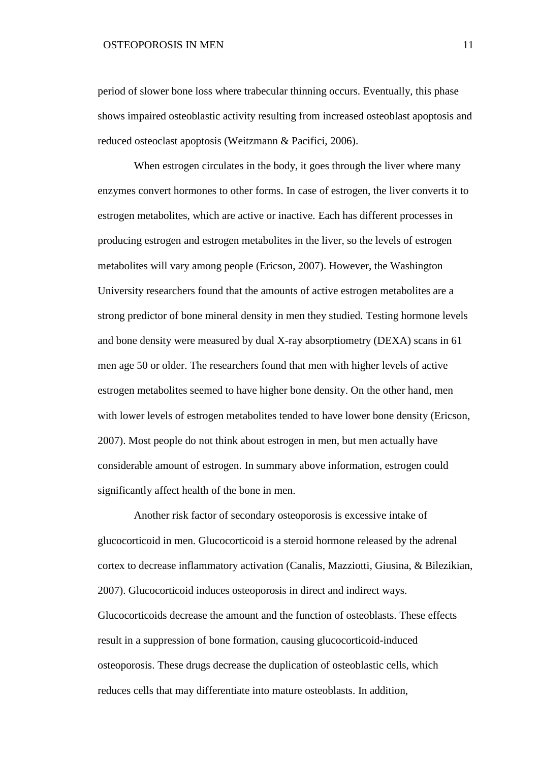# OSTEOPOROSIS IN MEN 11

period of slower bone loss where trabecular thinning occurs. Eventually, this phase shows impaired osteoblastic activity resulting from increased osteoblast apoptosis and reduced osteoclast apoptosis (Weitzmann & Pacifici, 2006).

When estrogen circulates in the body, it goes through the liver where many enzymes convert hormones to other forms. In case of estrogen, the liver converts it to estrogen metabolites, which are active or inactive. Each has different processes in producing estrogen and estrogen metabolites in the liver, so the levels of estrogen metabolites will vary among people (Ericson, 2007). However, the Washington University researchers found that the amounts of active estrogen metabolites are a strong predictor of bone mineral density in men they studied. Testing hormone levels and bone density were measured by dual X-ray absorptiometry (DEXA) scans in 61 men age 50 or older. The researchers found that men with higher levels of active estrogen metabolites seemed to have higher bone density. On the other hand, men with lower levels of estrogen metabolites tended to have lower bone density (Ericson, 2007). Most people do not think about estrogen in men, but men actually have considerable amount of estrogen. In summary above information, estrogen could significantly affect health of the bone in men.

Another risk factor of secondary osteoporosis is excessive intake of glucocorticoid in men. Glucocorticoid is a steroid hormone released by the adrenal cortex to decrease inflammatory activation (Canalis, Mazziotti, Giusina, & Bilezikian, 2007). Glucocorticoid induces osteoporosis in direct and indirect ways. Glucocorticoids decrease the amount and the function of osteoblasts. These effects result in a suppression of bone formation, causing glucocorticoid-induced osteoporosis. These drugs decrease the duplication of osteoblastic cells, which reduces cells that may differentiate into mature osteoblasts. In addition,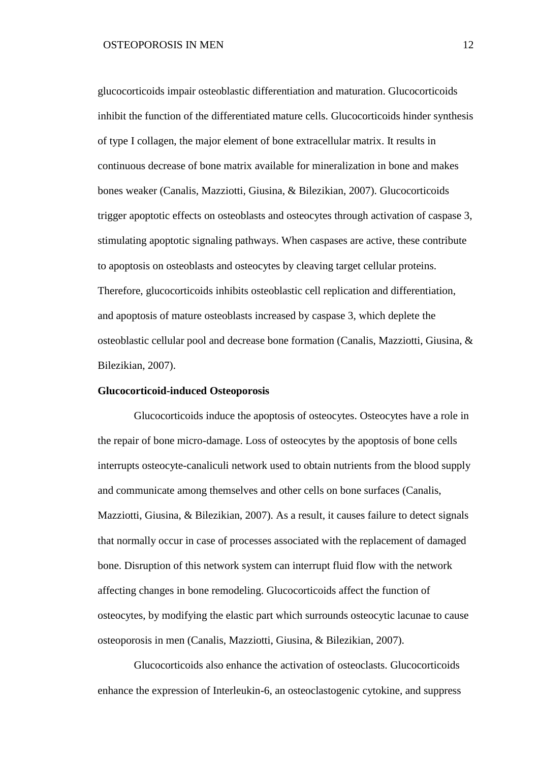glucocorticoids impair osteoblastic differentiation and maturation. Glucocorticoids inhibit the function of the differentiated mature cells. Glucocorticoids hinder synthesis of type I collagen, the major element of bone extracellular matrix. It results in continuous decrease of bone matrix available for mineralization in bone and makes bones weaker (Canalis, Mazziotti, Giusina, & Bilezikian, 2007). Glucocorticoids trigger apoptotic effects on osteoblasts and osteocytes through activation of caspase 3, stimulating apoptotic signaling pathways. When caspases are active, these contribute to apoptosis on osteoblasts and osteocytes by cleaving target cellular proteins. Therefore, glucocorticoids inhibits osteoblastic cell replication and differentiation, and apoptosis of mature osteoblasts increased by caspase 3, which deplete the osteoblastic cellular pool and decrease bone formation (Canalis, Mazziotti, Giusina, & Bilezikian, 2007).

## **Glucocorticoid-induced Osteoporosis**

Glucocorticoids induce the apoptosis of osteocytes. Osteocytes have a role in the repair of bone micro-damage. Loss of osteocytes by the apoptosis of bone cells interrupts osteocyte-canaliculi network used to obtain nutrients from the blood supply and communicate among themselves and other cells on bone surfaces (Canalis, Mazziotti, Giusina, & Bilezikian, 2007). As a result, it causes failure to detect signals that normally occur in case of processes associated with the replacement of damaged bone. Disruption of this network system can interrupt fluid flow with the network affecting changes in bone remodeling. Glucocorticoids affect the function of osteocytes, by modifying the elastic part which surrounds osteocytic lacunae to cause osteoporosis in men (Canalis, Mazziotti, Giusina, & Bilezikian, 2007).

Glucocorticoids also enhance the activation of osteoclasts. Glucocorticoids enhance the expression of Interleukin-6, an osteoclastogenic cytokine, and suppress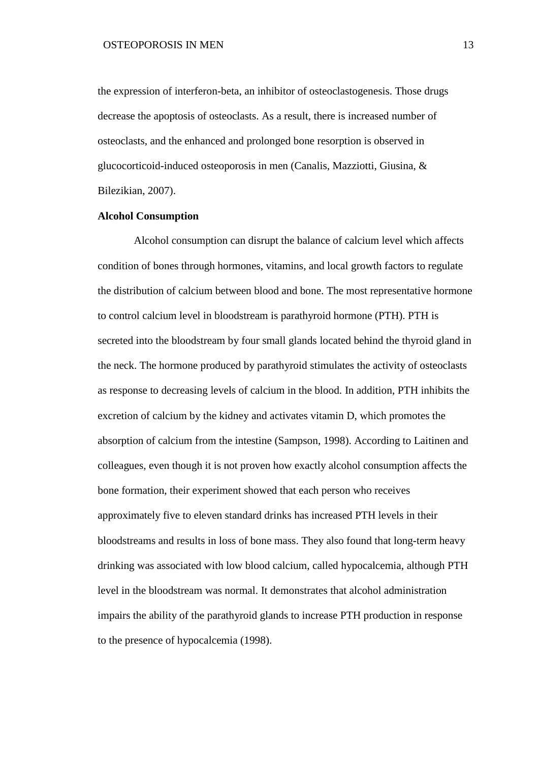the expression of interferon-beta, an inhibitor of osteoclastogenesis. Those drugs decrease the apoptosis of osteoclasts. As a result, there is increased number of osteoclasts, and the enhanced and prolonged bone resorption is observed in glucocorticoid-induced osteoporosis in men (Canalis, Mazziotti, Giusina, & Bilezikian, 2007).

## **Alcohol Consumption**

Alcohol consumption can disrupt the balance of calcium level which affects condition of bones through hormones, vitamins, and local growth factors to regulate the distribution of calcium between blood and bone. The most representative hormone to control calcium level in bloodstream is parathyroid hormone (PTH). PTH is secreted into the bloodstream by four small glands located behind the thyroid gland in the neck. The hormone produced by parathyroid stimulates the activity of osteoclasts as response to decreasing levels of calcium in the blood. In addition, PTH inhibits the excretion of calcium by the kidney and activates vitamin D, which promotes the absorption of calcium from the intestine (Sampson, 1998). According to Laitinen and colleagues, even though it is not proven how exactly alcohol consumption affects the bone formation, their experiment showed that each person who receives approximately five to eleven standard drinks has increased PTH levels in their bloodstreams and results in loss of bone mass. They also found that long-term heavy drinking was associated with low blood calcium, called hypocalcemia, although PTH level in the bloodstream was normal. It demonstrates that alcohol administration impairs the ability of the parathyroid glands to increase PTH production in response to the presence of hypocalcemia (1998).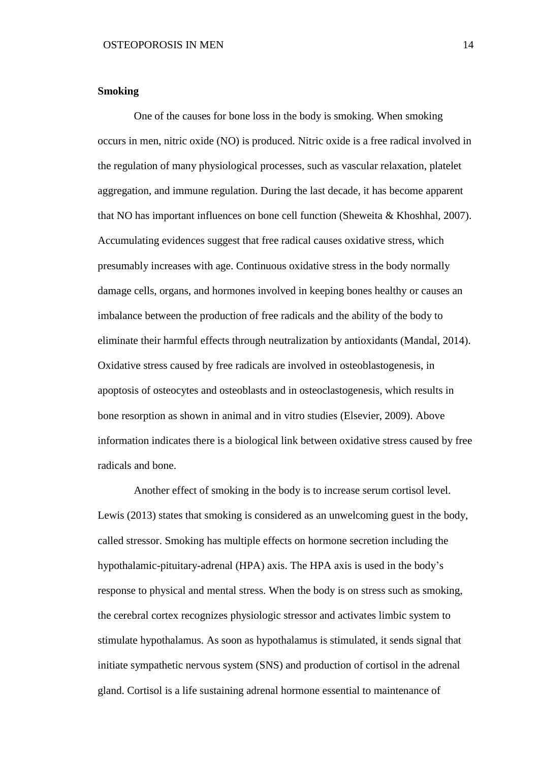# **Smoking**

One of the causes for bone loss in the body is smoking. When smoking occurs in men, nitric oxide (NO) is produced. Nitric oxide is a free radical involved in the regulation of many physiological processes, such as vascular relaxation, platelet aggregation, and immune regulation. During the last decade, it has become apparent that NO has important influences on bone cell function (Sheweita & Khoshhal, 2007). Accumulating evidences suggest that free radical causes oxidative stress, which presumably increases with age. Continuous oxidative stress in the body normally damage cells, organs, and hormones involved in keeping bones healthy or causes an imbalance between the production of free radicals and the ability of the body to eliminate their harmful effects through neutralization by antioxidants (Mandal, 2014). Oxidative stress caused by free radicals are involved in osteoblastogenesis, in apoptosis of osteocytes and osteoblasts and in osteoclastogenesis, which results in bone resorption as shown in animal and in vitro studies (Elsevier, 2009). Above information indicates there is a biological link between oxidative stress caused by free radicals and bone.

Another effect of smoking in the body is to increase serum cortisol level. Lewis (2013) states that smoking is considered as an unwelcoming guest in the body, called stressor. Smoking has multiple effects on hormone secretion including the hypothalamic-pituitary-adrenal (HPA) axis. The HPA axis is used in the body's response to physical and mental stress. When the body is on stress such as smoking, the cerebral cortex recognizes physiologic stressor and activates limbic system to stimulate hypothalamus. As soon as hypothalamus is stimulated, it sends signal that initiate sympathetic nervous system (SNS) and production of cortisol in the adrenal gland. Cortisol is a life sustaining adrenal hormone essential to maintenance of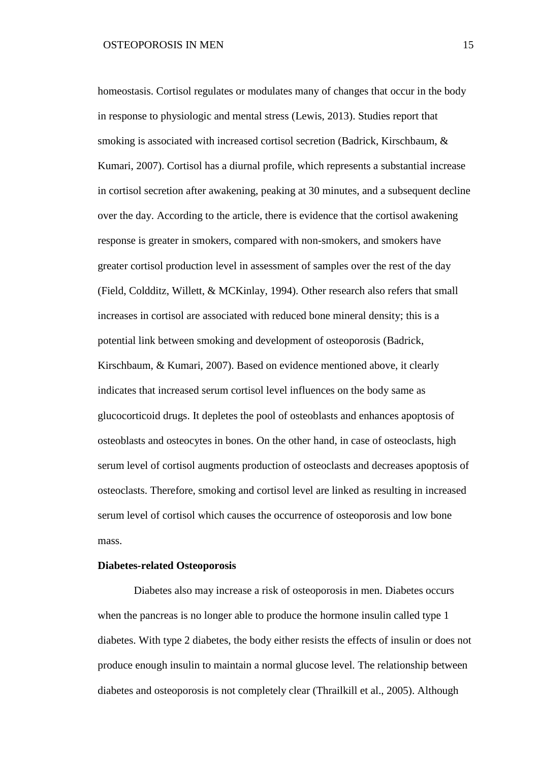homeostasis. Cortisol regulates or modulates many of changes that occur in the body in response to physiologic and mental stress (Lewis, 2013). Studies report that smoking is associated with increased cortisol secretion (Badrick, Kirschbaum, & Kumari, 2007). Cortisol has a diurnal profile, which represents a substantial increase in cortisol secretion after awakening, peaking at 30 minutes, and a subsequent decline over the day. According to the article, there is evidence that the cortisol awakening response is greater in smokers, compared with non-smokers, and smokers have greater cortisol production level in assessment of samples over the rest of the day (Field, Coldditz, Willett, & MCKinlay, 1994). Other research also refers that small increases in cortisol are associated with reduced bone mineral density; this is a potential link between smoking and development of osteoporosis (Badrick, Kirschbaum, & Kumari, 2007). Based on evidence mentioned above, it clearly indicates that increased serum cortisol level influences on the body same as glucocorticoid drugs. It depletes the pool of osteoblasts and enhances apoptosis of osteoblasts and osteocytes in bones. On the other hand, in case of osteoclasts, high serum level of cortisol augments production of osteoclasts and decreases apoptosis of osteoclasts. Therefore, smoking and cortisol level are linked as resulting in increased serum level of cortisol which causes the occurrence of osteoporosis and low bone mass.

### **Diabetes-related Osteoporosis**

Diabetes also may increase a risk of osteoporosis in men. Diabetes occurs when the pancreas is no longer able to produce the hormone insulin called type 1 diabetes. With type 2 diabetes, the body either resists the effects of insulin or does not produce enough insulin to maintain a normal glucose level. The relationship between diabetes and osteoporosis is not completely clear (Thrailkill et al., 2005). Although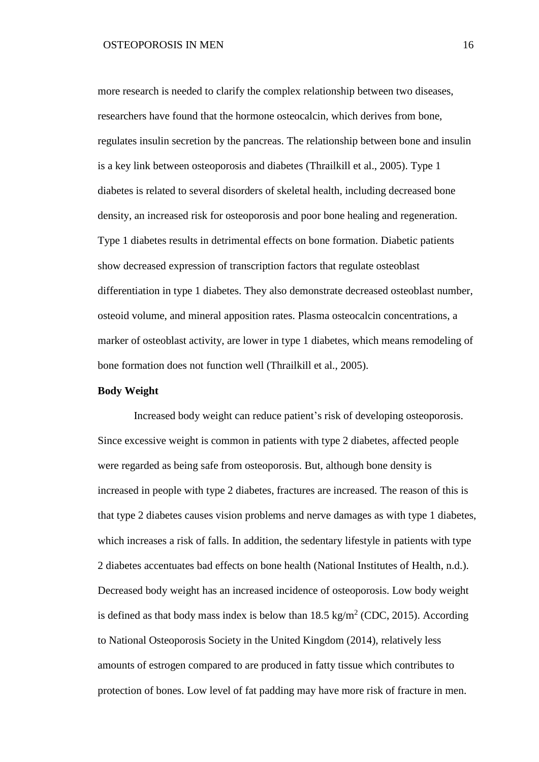more research is needed to clarify the complex relationship between two diseases, researchers have found that the hormone osteocalcin, which derives from bone, regulates insulin secretion by the pancreas. The relationship between bone and insulin is a key link between osteoporosis and diabetes (Thrailkill et al., 2005). Type 1 diabetes is related to several disorders of skeletal health, including decreased bone density, an increased risk for osteoporosis and poor bone healing and regeneration. Type 1 diabetes results in detrimental effects on bone formation. Diabetic patients show decreased expression of transcription factors that regulate osteoblast differentiation in type 1 diabetes. They also demonstrate decreased osteoblast number, osteoid volume, and mineral apposition rates. Plasma osteocalcin concentrations, a marker of osteoblast activity, are lower in type 1 diabetes, which means remodeling of bone formation does not function well (Thrailkill et al., 2005).

## **Body Weight**

Increased body weight can reduce patient's risk of developing osteoporosis. Since excessive weight is common in patients with type 2 diabetes, affected people were regarded as being safe from osteoporosis. But, although bone density is increased in people with type 2 diabetes, fractures are increased. The reason of this is that type 2 diabetes causes vision problems and nerve damages as with type 1 diabetes, which increases a risk of falls. In addition, the sedentary lifestyle in patients with type 2 diabetes accentuates bad effects on bone health (National Institutes of Health, n.d.). Decreased body weight has an increased incidence of osteoporosis. Low body weight is defined as that body mass index is below than  $18.5 \text{ kg/m}^2$  (CDC, 2015). According to National Osteoporosis Society in the United Kingdom (2014), relatively less amounts of estrogen compared to are produced in fatty tissue which contributes to protection of bones. Low level of fat padding may have more risk of fracture in men.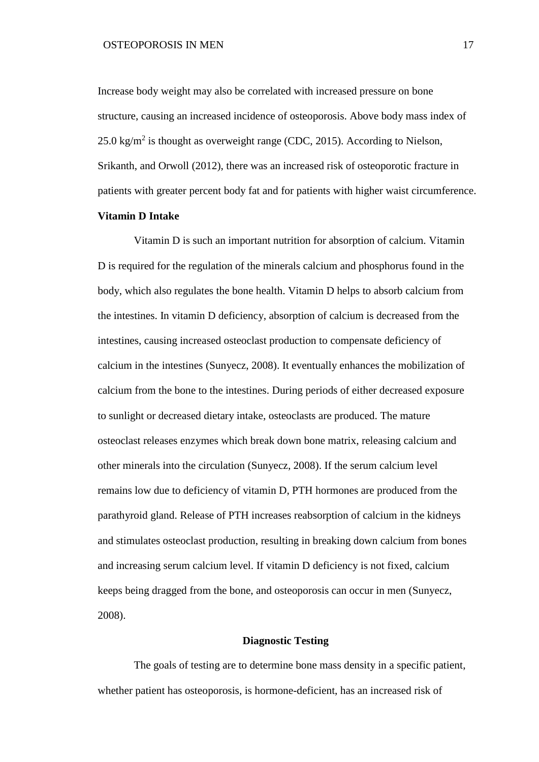Increase body weight may also be correlated with increased pressure on bone structure, causing an increased incidence of osteoporosis. Above body mass index of  $25.0 \text{ kg/m}^2$  is thought as overweight range (CDC, 2015). According to Nielson, Srikanth, and Orwoll (2012), there was an increased risk of osteoporotic fracture in patients with greater percent body fat and for patients with higher waist circumference.

# **Vitamin D Intake**

Vitamin D is such an important nutrition for absorption of calcium. Vitamin D is required for the regulation of the minerals calcium and phosphorus found in the body, which also regulates the bone health. Vitamin D helps to absorb calcium from the intestines. In vitamin D deficiency, absorption of calcium is decreased from the intestines, causing increased osteoclast production to compensate deficiency of calcium in the intestines (Sunyecz, 2008). It eventually enhances the mobilization of calcium from the bone to the intestines. During periods of either decreased exposure to sunlight or decreased dietary intake, osteoclasts are produced. The mature osteoclast releases enzymes which break down bone matrix, releasing calcium and other minerals into the circulation (Sunyecz, 2008). If the serum calcium level remains low due to deficiency of vitamin D, PTH hormones are produced from the parathyroid gland. Release of PTH increases reabsorption of calcium in the kidneys and stimulates osteoclast production, resulting in breaking down calcium from bones and increasing serum calcium level. If vitamin D deficiency is not fixed, calcium keeps being dragged from the bone, and osteoporosis can occur in men (Sunyecz, 2008).

# **Diagnostic Testing**

The goals of testing are to determine bone mass density in a specific patient, whether patient has osteoporosis, is hormone-deficient, has an increased risk of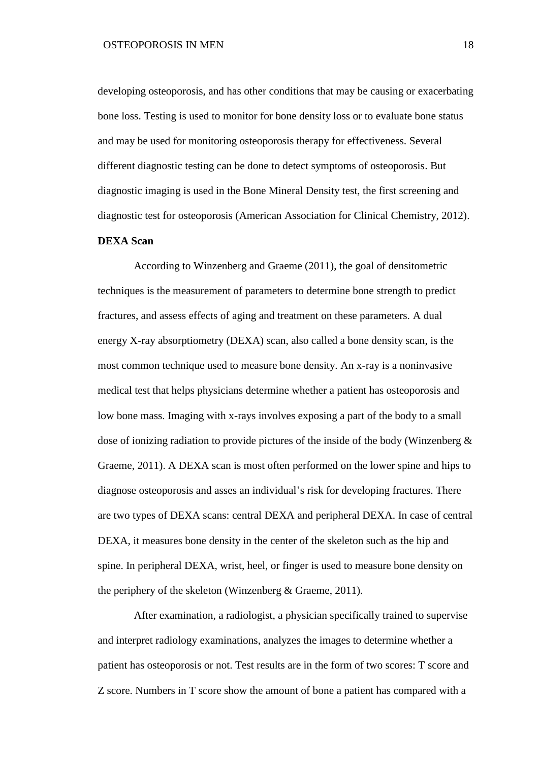developing osteoporosis, and has other conditions that may be causing or exacerbating bone loss. Testing is used to monitor for bone density loss or to evaluate bone status and may be used for monitoring osteoporosis therapy for effectiveness. Several different diagnostic testing can be done to detect symptoms of osteoporosis. But diagnostic imaging is used in the Bone Mineral Density test, the first screening and diagnostic test for osteoporosis (American Association for Clinical Chemistry, 2012).

# **DEXA Scan**

According to Winzenberg and Graeme (2011), the goal of densitometric techniques is the measurement of parameters to determine bone strength to predict fractures, and assess effects of aging and treatment on these parameters. A dual energy X-ray absorptiometry (DEXA) scan, also called a bone density scan, is the most common technique used to measure bone density. An x-ray is a noninvasive medical test that helps physicians determine whether a patient has osteoporosis and low bone mass. Imaging with x-rays involves exposing a part of the body to a small dose of ionizing radiation to provide pictures of the inside of the body (Winzenberg & Graeme, 2011). A DEXA scan is most often performed on the lower spine and hips to diagnose osteoporosis and asses an individual's risk for developing fractures. There are two types of DEXA scans: central DEXA and peripheral DEXA. In case of central DEXA, it measures bone density in the center of the skeleton such as the hip and spine. In peripheral DEXA, wrist, heel, or finger is used to measure bone density on the periphery of the skeleton (Winzenberg & Graeme, 2011).

After examination, a radiologist, a physician specifically trained to supervise and interpret radiology examinations, analyzes the images to determine whether a patient has osteoporosis or not. Test results are in the form of two scores: T score and Z score. Numbers in T score show the amount of bone a patient has compared with a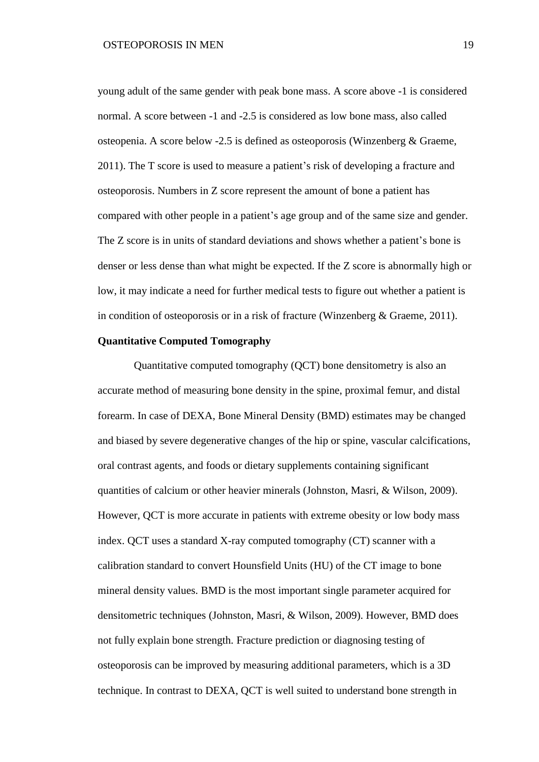young adult of the same gender with peak bone mass. A score above -1 is considered normal. A score between -1 and -2.5 is considered as low bone mass, also called osteopenia. A score below -2.5 is defined as osteoporosis (Winzenberg & Graeme, 2011). The T score is used to measure a patient's risk of developing a fracture and osteoporosis. Numbers in Z score represent the amount of bone a patient has compared with other people in a patient's age group and of the same size and gender. The Z score is in units of standard deviations and shows whether a patient's bone is denser or less dense than what might be expected. If the Z score is abnormally high or low, it may indicate a need for further medical tests to figure out whether a patient is in condition of osteoporosis or in a risk of fracture (Winzenberg & Graeme, 2011).

# **Quantitative Computed Tomography**

Quantitative computed tomography (QCT) bone densitometry is also an accurate method of measuring bone density in the spine, proximal femur, and distal forearm. In case of DEXA, Bone Mineral Density (BMD) estimates may be changed and biased by severe degenerative changes of the hip or spine, vascular calcifications, oral contrast agents, and foods or dietary supplements containing significant quantities of calcium or other heavier minerals (Johnston, Masri, & Wilson, 2009). However, QCT is more accurate in patients with extreme obesity or low body mass index. QCT uses a standard X-ray computed tomography (CT) scanner with a calibration standard to convert Hounsfield Units (HU) of the CT image to bone mineral density values. BMD is the most important single parameter acquired for densitometric techniques (Johnston, Masri, & Wilson, 2009). However, BMD does not fully explain bone strength. Fracture prediction or diagnosing testing of osteoporosis can be improved by measuring additional parameters, which is a 3D technique. In contrast to DEXA, QCT is well suited to understand bone strength in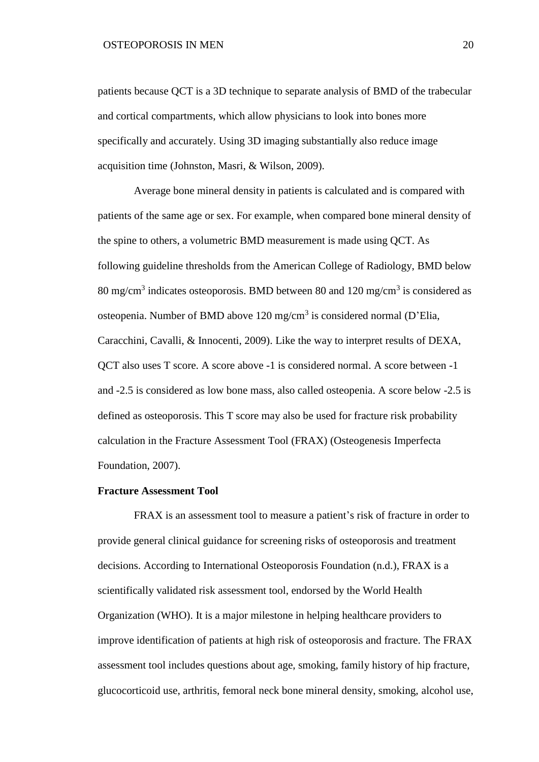patients because QCT is a 3D technique to separate analysis of BMD of the trabecular and cortical compartments, which allow physicians to look into bones more specifically and accurately. Using 3D imaging substantially also reduce image acquisition time (Johnston, Masri, & Wilson, 2009).

Average bone mineral density in patients is calculated and is compared with patients of the same age or sex. For example, when compared bone mineral density of the spine to others, a volumetric BMD measurement is made using QCT. As following guideline thresholds from the American College of Radiology, BMD below 80 mg/cm<sup>3</sup> indicates osteoporosis. BMD between 80 and 120 mg/cm<sup>3</sup> is considered as osteopenia. Number of BMD above 120 mg/cm<sup>3</sup> is considered normal (D'Elia, Caracchini, Cavalli, & Innocenti, 2009). Like the way to interpret results of DEXA, QCT also uses T score. A score above -1 is considered normal. A score between -1 and -2.5 is considered as low bone mass, also called osteopenia. A score below -2.5 is defined as osteoporosis. This T score may also be used for fracture risk probability calculation in the Fracture Assessment Tool (FRAX) (Osteogenesis Imperfecta Foundation, 2007).

# **Fracture Assessment Tool**

FRAX is an assessment tool to measure a patient's risk of fracture in order to provide general clinical guidance for screening risks of osteoporosis and treatment decisions. According to International Osteoporosis Foundation (n.d.), FRAX is a scientifically validated risk assessment tool, endorsed by the World Health Organization (WHO). It is a major milestone in helping healthcare providers to improve identification of patients at high risk of osteoporosis and fracture. The FRAX assessment tool includes questions about age, smoking, family history of hip fracture, glucocorticoid use, arthritis, femoral neck bone mineral density, smoking, alcohol use,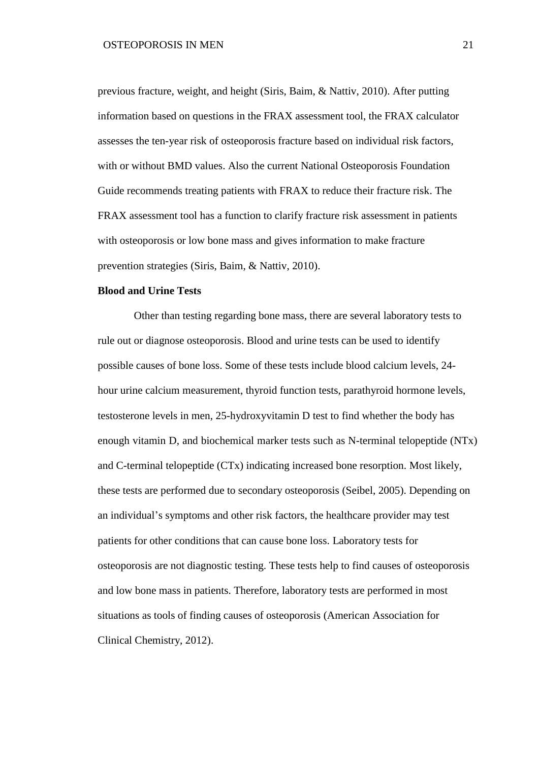previous fracture, weight, and height (Siris, Baim, & Nattiv, 2010). After putting information based on questions in the FRAX assessment tool, the FRAX calculator assesses the ten-year risk of osteoporosis fracture based on individual risk factors, with or without BMD values. Also the current National Osteoporosis Foundation Guide recommends treating patients with FRAX to reduce their fracture risk. The FRAX assessment tool has a function to clarify fracture risk assessment in patients with osteoporosis or low bone mass and gives information to make fracture prevention strategies (Siris, Baim, & Nattiv, 2010).

## **Blood and Urine Tests**

Other than testing regarding bone mass, there are several laboratory tests to rule out or diagnose osteoporosis. Blood and urine tests can be used to identify possible causes of bone loss. Some of these tests include blood calcium levels, 24 hour urine calcium measurement, thyroid function tests, parathyroid hormone levels, testosterone levels in men, 25-hydroxyvitamin D test to find whether the body has enough vitamin D, and biochemical marker tests such as N-terminal telopeptide (NTx) and C-terminal telopeptide (CTx) indicating increased bone resorption. Most likely, these tests are performed due to secondary osteoporosis (Seibel, 2005). Depending on an individual's symptoms and other risk factors, the healthcare provider may test patients for other conditions that can cause bone loss. Laboratory tests for osteoporosis are not diagnostic testing. These tests help to find causes of osteoporosis and low bone mass in patients. Therefore, laboratory tests are performed in most situations as tools of finding causes of osteoporosis (American Association for Clinical Chemistry, 2012).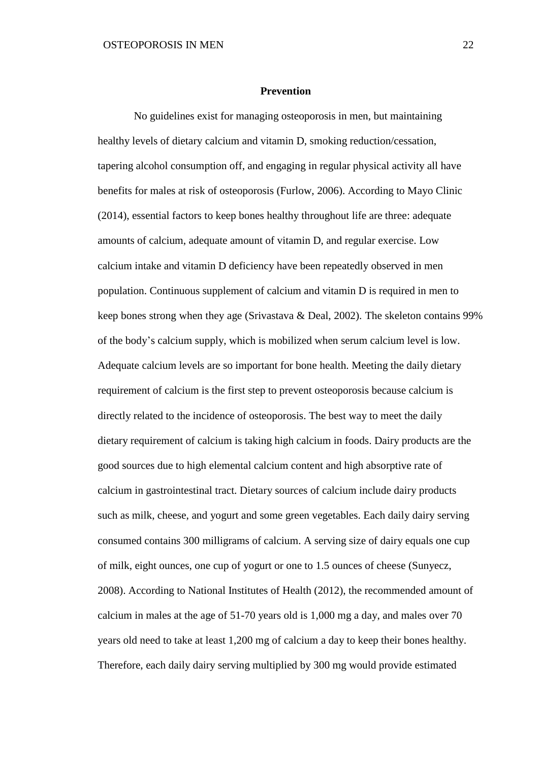### **Prevention**

No guidelines exist for managing osteoporosis in men, but maintaining healthy levels of dietary calcium and vitamin D, smoking reduction/cessation, tapering alcohol consumption off, and engaging in regular physical activity all have benefits for males at risk of osteoporosis (Furlow, 2006). According to Mayo Clinic (2014), essential factors to keep bones healthy throughout life are three: adequate amounts of calcium, adequate amount of vitamin D, and regular exercise. Low calcium intake and vitamin D deficiency have been repeatedly observed in men population. Continuous supplement of calcium and vitamin D is required in men to keep bones strong when they age (Srivastava & Deal, 2002). The skeleton contains 99% of the body's calcium supply, which is mobilized when serum calcium level is low. Adequate calcium levels are so important for bone health. Meeting the daily dietary requirement of calcium is the first step to prevent osteoporosis because calcium is directly related to the incidence of osteoporosis. The best way to meet the daily dietary requirement of calcium is taking high calcium in foods. Dairy products are the good sources due to high elemental calcium content and high absorptive rate of calcium in gastrointestinal tract. Dietary sources of calcium include dairy products such as milk, cheese, and yogurt and some green vegetables. Each daily dairy serving consumed contains 300 milligrams of calcium. A serving size of dairy equals one cup of milk, eight ounces, one cup of yogurt or one to 1.5 ounces of cheese (Sunyecz, 2008). According to National Institutes of Health (2012), the recommended amount of calcium in males at the age of 51-70 years old is 1,000 mg a day, and males over 70 years old need to take at least 1,200 mg of calcium a day to keep their bones healthy. Therefore, each daily dairy serving multiplied by 300 mg would provide estimated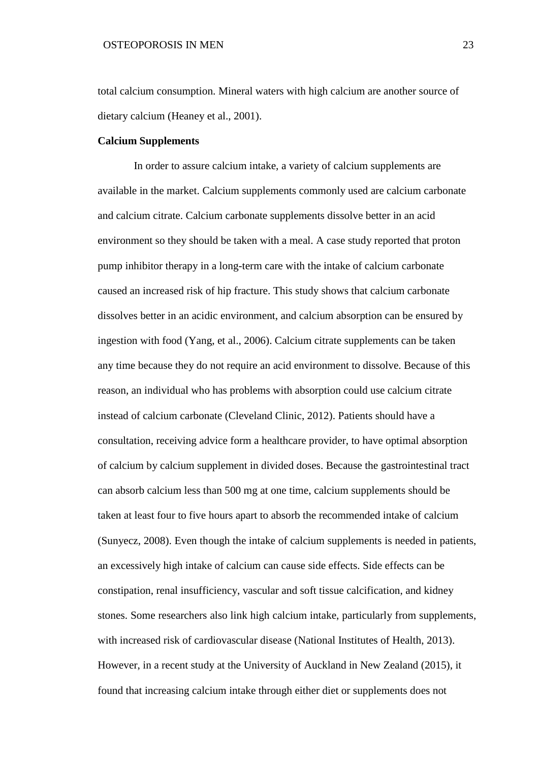total calcium consumption. Mineral waters with high calcium are another source of dietary calcium (Heaney et al., 2001).

### **Calcium Supplements**

In order to assure calcium intake, a variety of calcium supplements are available in the market. Calcium supplements commonly used are calcium carbonate and calcium citrate. Calcium carbonate supplements dissolve better in an acid environment so they should be taken with a meal. A case study reported that proton pump inhibitor therapy in a long-term care with the intake of calcium carbonate caused an increased risk of hip fracture. This study shows that calcium carbonate dissolves better in an acidic environment, and calcium absorption can be ensured by ingestion with food (Yang, et al., 2006). Calcium citrate supplements can be taken any time because they do not require an acid environment to dissolve. Because of this reason, an individual who has problems with absorption could use calcium citrate instead of calcium carbonate (Cleveland Clinic, 2012). Patients should have a consultation, receiving advice form a healthcare provider, to have optimal absorption of calcium by calcium supplement in divided doses. Because the gastrointestinal tract can absorb calcium less than 500 mg at one time, calcium supplements should be taken at least four to five hours apart to absorb the recommended intake of calcium (Sunyecz, 2008). Even though the intake of calcium supplements is needed in patients, an excessively high intake of calcium can cause side effects. Side effects can be constipation, renal insufficiency, vascular and soft tissue calcification, and kidney stones. Some researchers also link high calcium intake, particularly from supplements, with increased risk of cardiovascular disease (National Institutes of Health, 2013). However, in a recent study at the University of Auckland in New Zealand (2015), it found that increasing calcium intake through either diet or supplements does not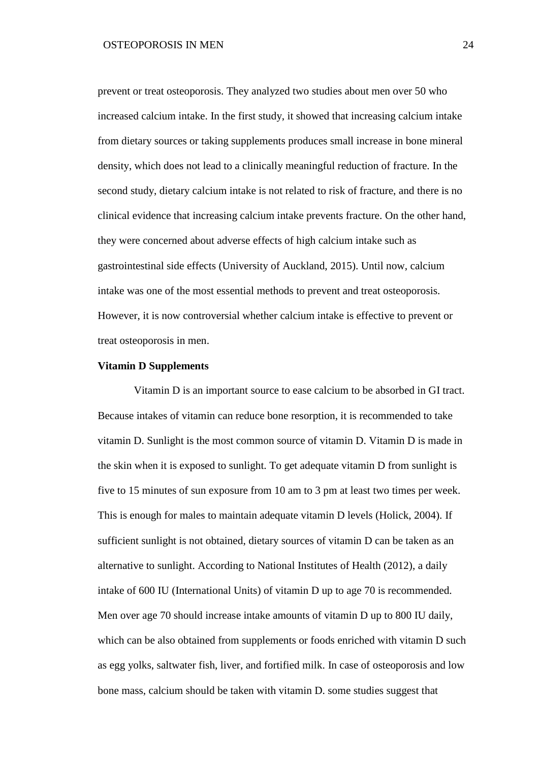prevent or treat osteoporosis. They analyzed two studies about men over 50 who increased calcium intake. In the first study, it showed that increasing calcium intake from dietary sources or taking supplements produces small increase in bone mineral density, which does not lead to a clinically meaningful reduction of fracture. In the second study, dietary calcium intake is not related to risk of fracture, and there is no clinical evidence that increasing calcium intake prevents fracture. On the other hand, they were concerned about adverse effects of high calcium intake such as gastrointestinal side effects (University of Auckland, 2015). Until now, calcium intake was one of the most essential methods to prevent and treat osteoporosis. However, it is now controversial whether calcium intake is effective to prevent or treat osteoporosis in men.

# **Vitamin D Supplements**

Vitamin D is an important source to ease calcium to be absorbed in GI tract. Because intakes of vitamin can reduce bone resorption, it is recommended to take vitamin D. Sunlight is the most common source of vitamin D. Vitamin D is made in the skin when it is exposed to sunlight. To get adequate vitamin D from sunlight is five to 15 minutes of sun exposure from 10 am to 3 pm at least two times per week. This is enough for males to maintain adequate vitamin D levels (Holick, 2004). If sufficient sunlight is not obtained, dietary sources of vitamin D can be taken as an alternative to sunlight. According to National Institutes of Health (2012), a daily intake of 600 IU (International Units) of vitamin D up to age 70 is recommended. Men over age 70 should increase intake amounts of vitamin D up to 800 IU daily, which can be also obtained from supplements or foods enriched with vitamin D such as egg yolks, saltwater fish, liver, and fortified milk. In case of osteoporosis and low bone mass, calcium should be taken with vitamin D. some studies suggest that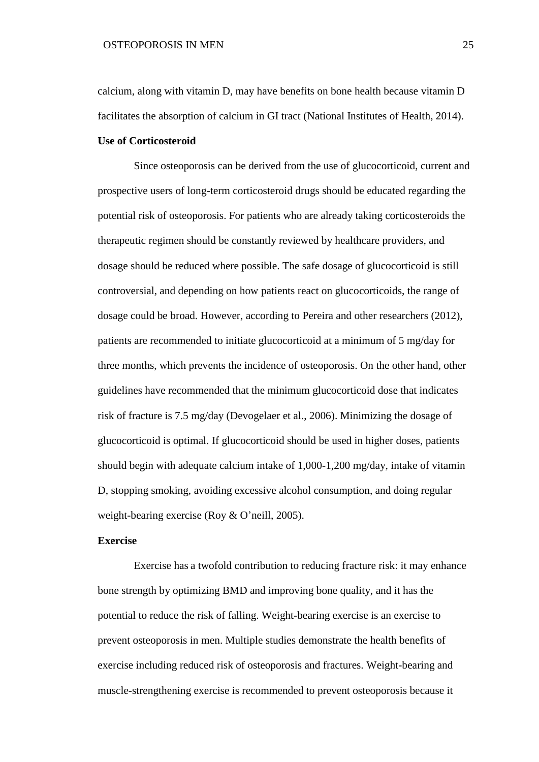calcium, along with vitamin D, may have benefits on bone health because vitamin D facilitates the absorption of calcium in GI tract (National Institutes of Health, 2014).

### **Use of Corticosteroid**

Since osteoporosis can be derived from the use of glucocorticoid, current and prospective users of long-term corticosteroid drugs should be educated regarding the potential risk of osteoporosis. For patients who are already taking corticosteroids the therapeutic regimen should be constantly reviewed by healthcare providers, and dosage should be reduced where possible. The safe dosage of glucocorticoid is still controversial, and depending on how patients react on glucocorticoids, the range of dosage could be broad. However, according to Pereira and other researchers (2012), patients are recommended to initiate glucocorticoid at a minimum of 5 mg/day for three months, which prevents the incidence of osteoporosis. On the other hand, other guidelines have recommended that the minimum glucocorticoid dose that indicates risk of fracture is 7.5 mg/day (Devogelaer et al., 2006). Minimizing the dosage of glucocorticoid is optimal. If glucocorticoid should be used in higher doses, patients should begin with adequate calcium intake of 1,000-1,200 mg/day, intake of vitamin D, stopping smoking, avoiding excessive alcohol consumption, and doing regular weight-bearing exercise (Roy & O'neill, 2005).

# **Exercise**

Exercise has a twofold contribution to reducing fracture risk: it may enhance bone strength by optimizing BMD and improving bone quality, and it has the potential to reduce the risk of falling. Weight-bearing exercise is an exercise to prevent osteoporosis in men. Multiple studies demonstrate the health benefits of exercise including reduced risk of osteoporosis and fractures. Weight-bearing and muscle-strengthening exercise is recommended to prevent osteoporosis because it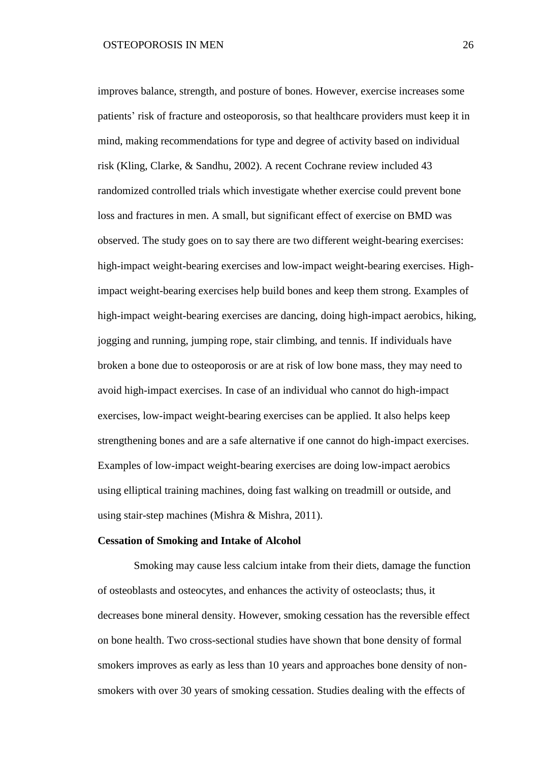improves balance, strength, and posture of bones. However, exercise increases some patients' risk of fracture and osteoporosis, so that healthcare providers must keep it in mind, making recommendations for type and degree of activity based on individual risk (Kling, Clarke, & Sandhu, 2002). A recent Cochrane review included 43 randomized controlled trials which investigate whether exercise could prevent bone loss and fractures in men. A small, but significant effect of exercise on BMD was observed. The study goes on to say there are two different weight-bearing exercises: high-impact weight-bearing exercises and low-impact weight-bearing exercises. Highimpact weight-bearing exercises help build bones and keep them strong. Examples of high-impact weight-bearing exercises are dancing, doing high-impact aerobics, hiking, jogging and running, jumping rope, stair climbing, and tennis. If individuals have broken a bone due to osteoporosis or are at risk of low bone mass, they may need to avoid high-impact exercises. In case of an individual who cannot do high-impact exercises, low-impact weight-bearing exercises can be applied. It also helps keep strengthening bones and are a safe alternative if one cannot do high-impact exercises. Examples of low-impact weight-bearing exercises are doing low-impact aerobics using elliptical training machines, doing fast walking on treadmill or outside, and using stair-step machines (Mishra & Mishra, 2011).

## **Cessation of Smoking and Intake of Alcohol**

Smoking may cause less calcium intake from their diets, damage the function of osteoblasts and osteocytes, and enhances the activity of osteoclasts; thus, it decreases bone mineral density. However, smoking cessation has the reversible effect on bone health. Two cross-sectional studies have shown that bone density of formal smokers improves as early as less than 10 years and approaches bone density of nonsmokers with over 30 years of smoking cessation. Studies dealing with the effects of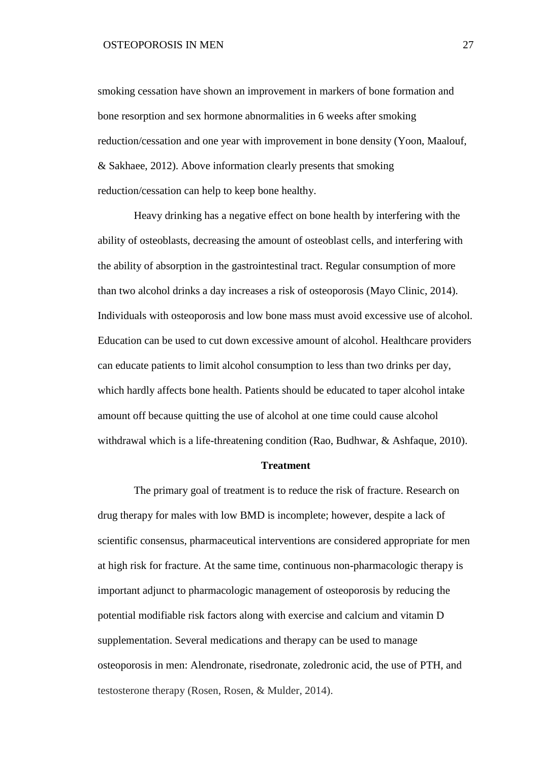smoking cessation have shown an improvement in markers of bone formation and bone resorption and sex hormone abnormalities in 6 weeks after smoking reduction/cessation and one year with improvement in bone density (Yoon, Maalouf, & Sakhaee, 2012). Above information clearly presents that smoking reduction/cessation can help to keep bone healthy.

Heavy drinking has a negative effect on bone health by interfering with the ability of osteoblasts, decreasing the amount of osteoblast cells, and interfering with the ability of absorption in the gastrointestinal tract. Regular consumption of more than two alcohol drinks a day increases a risk of osteoporosis (Mayo Clinic, 2014). Individuals with osteoporosis and low bone mass must avoid excessive use of alcohol. Education can be used to cut down excessive amount of alcohol. Healthcare providers can educate patients to limit alcohol consumption to less than two drinks per day, which hardly affects bone health. Patients should be educated to taper alcohol intake amount off because quitting the use of alcohol at one time could cause alcohol withdrawal which is a life-threatening condition (Rao, Budhwar, & Ashfaque, 2010).

## **Treatment**

The primary goal of treatment is to reduce the risk of fracture. Research on drug therapy for males with low BMD is incomplete; however, despite a lack of scientific consensus, pharmaceutical interventions are considered appropriate for men at high risk for fracture. At the same time, continuous non-pharmacologic therapy is important adjunct to pharmacologic management of osteoporosis by reducing the potential modifiable risk factors along with exercise and calcium and vitamin D supplementation. Several medications and therapy can be used to manage osteoporosis in men: Alendronate, risedronate, zoledronic acid, the use of PTH, and testosterone therapy (Rosen, Rosen, & Mulder, 2014).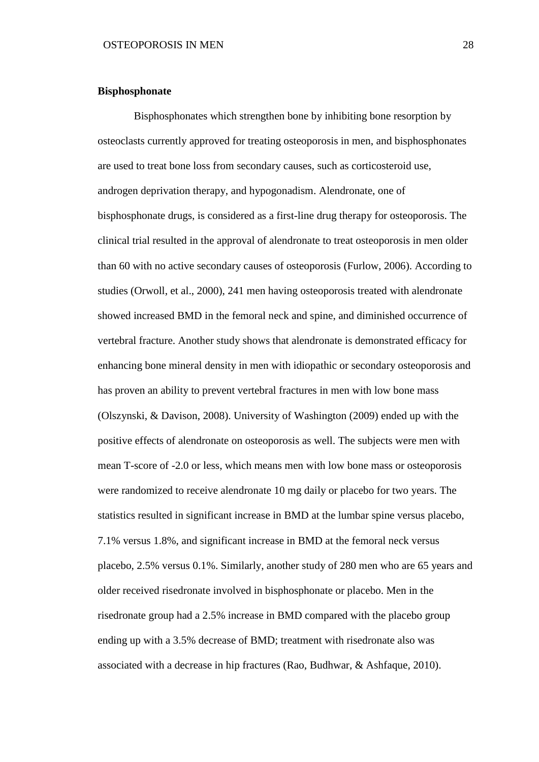## **Bisphosphonate**

Bisphosphonates which strengthen bone by inhibiting bone resorption by osteoclasts currently approved for treating osteoporosis in men, and bisphosphonates are used to treat bone loss from secondary causes, such as corticosteroid use, androgen deprivation therapy, and hypogonadism. Alendronate, one of bisphosphonate drugs, is considered as a first-line drug therapy for osteoporosis. The clinical trial resulted in the approval of alendronate to treat osteoporosis in men older than 60 with no active secondary causes of osteoporosis (Furlow, 2006). According to studies (Orwoll, et al., 2000), 241 men having osteoporosis treated with alendronate showed increased BMD in the femoral neck and spine, and diminished occurrence of vertebral fracture. Another study shows that alendronate is demonstrated efficacy for enhancing bone mineral density in men with idiopathic or secondary osteoporosis and has proven an ability to prevent vertebral fractures in men with low bone mass (Olszynski, & Davison, 2008). University of Washington (2009) ended up with the positive effects of alendronate on osteoporosis as well. The subjects were men with mean T-score of -2.0 or less, which means men with low bone mass or osteoporosis were randomized to receive alendronate 10 mg daily or placebo for two years. The statistics resulted in significant increase in BMD at the lumbar spine versus placebo, 7.1% versus 1.8%, and significant increase in BMD at the femoral neck versus placebo, 2.5% versus 0.1%. Similarly, another study of 280 men who are 65 years and older received risedronate involved in bisphosphonate or placebo. Men in the risedronate group had a 2.5% increase in BMD compared with the placebo group ending up with a 3.5% decrease of BMD; treatment with risedronate also was associated with a decrease in hip fractures (Rao, Budhwar, & Ashfaque, 2010).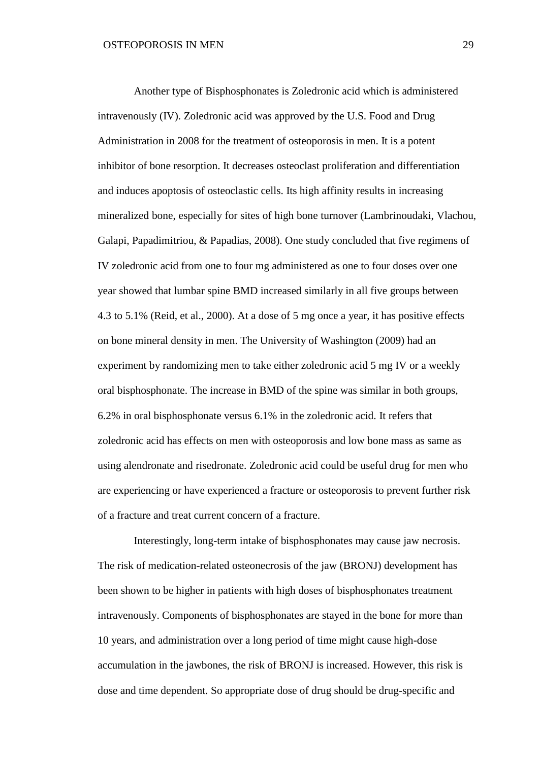Another type of Bisphosphonates is Zoledronic acid which is administered intravenously (IV). Zoledronic acid was approved by the U.S. Food and Drug Administration in 2008 for the treatment of osteoporosis in men. It is a potent inhibitor of bone resorption. It decreases osteoclast proliferation and differentiation and induces apoptosis of osteoclastic cells. Its high affinity results in increasing mineralized bone, especially for sites of high bone turnover (Lambrinoudaki, Vlachou, Galapi, Papadimitriou, & Papadias, 2008). One study concluded that five regimens of IV zoledronic acid from one to four mg administered as one to four doses over one year showed that lumbar spine BMD increased similarly in all five groups between 4.3 to 5.1% (Reid, et al., 2000). At a dose of 5 mg once a year, it has positive effects on bone mineral density in men. The University of Washington (2009) had an experiment by randomizing men to take either zoledronic acid 5 mg IV or a weekly oral bisphosphonate. The increase in BMD of the spine was similar in both groups, 6.2% in oral bisphosphonate versus 6.1% in the zoledronic acid. It refers that zoledronic acid has effects on men with osteoporosis and low bone mass as same as using alendronate and risedronate. Zoledronic acid could be useful drug for men who are experiencing or have experienced a fracture or osteoporosis to prevent further risk of a fracture and treat current concern of a fracture.

Interestingly, long-term intake of bisphosphonates may cause jaw necrosis. The risk of medication-related osteonecrosis of the jaw (BRONJ) development has been shown to be higher in patients with high doses of bisphosphonates treatment intravenously. Components of bisphosphonates are stayed in the bone for more than 10 years, and administration over a long period of time might cause high-dose accumulation in the jawbones, the risk of BRONJ is increased. However, this risk is dose and time dependent. So appropriate dose of drug should be drug-specific and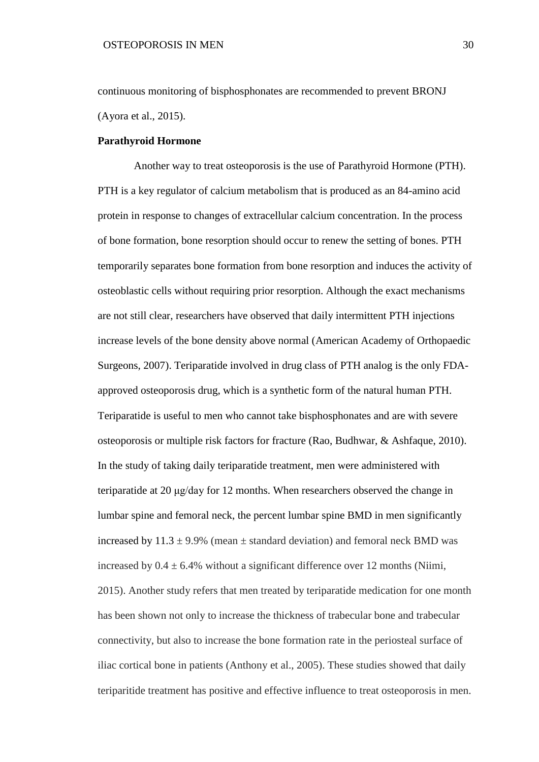continuous monitoring of bisphosphonates are recommended to prevent BRONJ (Ayora et al., 2015).

## **Parathyroid Hormone**

Another way to treat osteoporosis is the use of Parathyroid Hormone (PTH). PTH is a key regulator of calcium metabolism that is produced as an 84-amino acid protein in response to changes of extracellular calcium concentration. In the process of bone formation, bone resorption should occur to renew the setting of bones. PTH temporarily separates bone formation from bone resorption and induces the activity of osteoblastic cells without requiring prior resorption. Although the exact mechanisms are not still clear, researchers have observed that daily intermittent PTH injections increase levels of the bone density above normal (American Academy of Orthopaedic Surgeons, 2007). Teriparatide involved in drug class of PTH analog is the only FDAapproved osteoporosis drug, which is a synthetic form of the natural human PTH. Teriparatide is useful to men who cannot take bisphosphonates and are with severe osteoporosis or multiple risk factors for fracture (Rao, Budhwar, & Ashfaque, 2010). In the study of taking daily teriparatide treatment, men were administered with teriparatide at 20 μg/day for 12 months. When researchers observed the change in lumbar spine and femoral neck, the percent lumbar spine BMD in men significantly increased by  $11.3 \pm 9.9\%$  (mean  $\pm$  standard deviation) and femoral neck BMD was increased by  $0.4 \pm 6.4\%$  without a significant difference over 12 months (Niimi, 2015). Another study refers that men treated by teriparatide medication for one month has been shown not only to increase the thickness of trabecular bone and trabecular connectivity, but also to increase the bone formation rate in the periosteal surface of iliac cortical bone in patients (Anthony et al., 2005). These studies showed that daily teriparitide treatment has positive and effective influence to treat osteoporosis in men.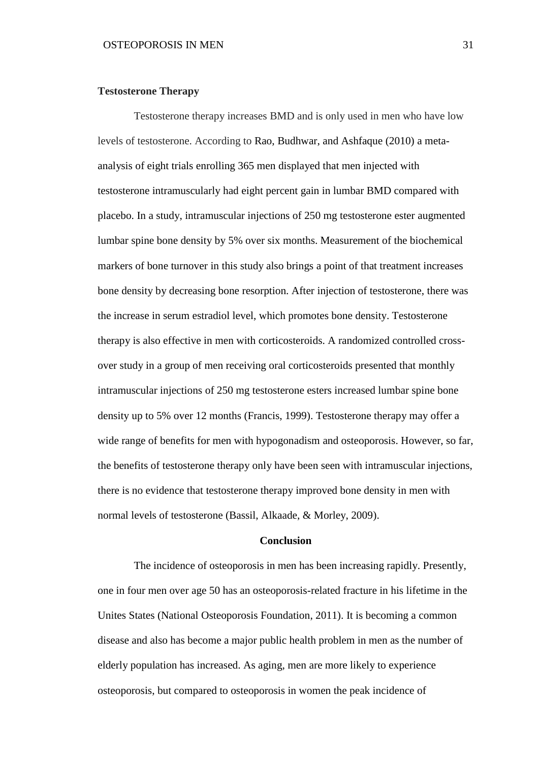## **Testosterone Therapy**

Testosterone therapy increases BMD and is only used in men who have low levels of testosterone. According to Rao, Budhwar, and Ashfaque (2010) a metaanalysis of eight trials enrolling 365 men displayed that men injected with testosterone intramuscularly had eight percent gain in lumbar BMD compared with placebo. In a study, intramuscular injections of 250 mg testosterone ester augmented lumbar spine bone density by 5% over six months. Measurement of the biochemical markers of bone turnover in this study also brings a point of that treatment increases bone density by decreasing bone resorption. After injection of testosterone, there was the increase in serum estradiol level, which promotes bone density. Testosterone therapy is also effective in men with corticosteroids. A randomized controlled crossover study in a group of men receiving oral corticosteroids presented that monthly intramuscular injections of 250 mg testosterone esters increased lumbar spine bone density up to 5% over 12 months (Francis, 1999). Testosterone therapy may offer a wide range of benefits for men with hypogonadism and osteoporosis. However, so far, the benefits of testosterone therapy only have been seen with intramuscular injections, there is no evidence that testosterone therapy improved bone density in men with normal levels of testosterone (Bassil, Alkaade, & Morley, 2009).

# **Conclusion**

The incidence of osteoporosis in men has been increasing rapidly. Presently, one in four men over age 50 has an osteoporosis-related fracture in his lifetime in the Unites States (National Osteoporosis Foundation, 2011). It is becoming a common disease and also has become a major public health problem in men as the number of elderly population has increased. As aging, men are more likely to experience osteoporosis, but compared to osteoporosis in women the peak incidence of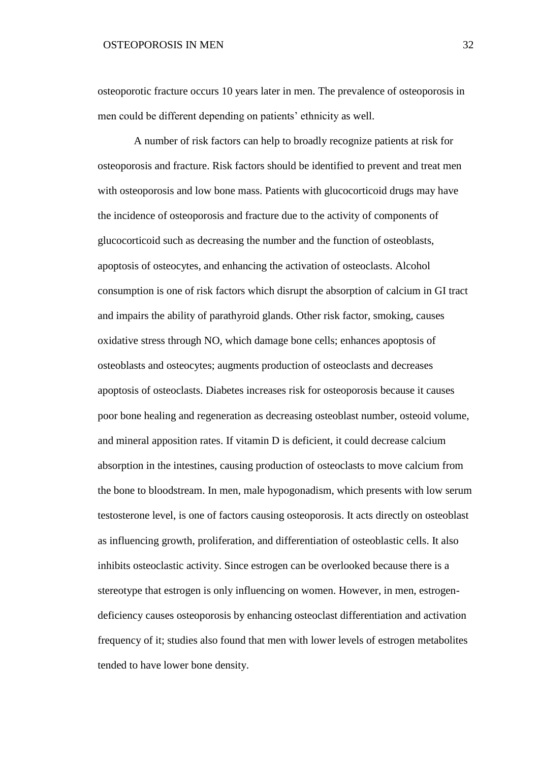# OSTEOPOROSIS IN MEN 32

osteoporotic fracture occurs 10 years later in men. The prevalence of osteoporosis in men could be different depending on patients' ethnicity as well.

A number of risk factors can help to broadly recognize patients at risk for osteoporosis and fracture. Risk factors should be identified to prevent and treat men with osteoporosis and low bone mass. Patients with glucocorticoid drugs may have the incidence of osteoporosis and fracture due to the activity of components of glucocorticoid such as decreasing the number and the function of osteoblasts, apoptosis of osteocytes, and enhancing the activation of osteoclasts. Alcohol consumption is one of risk factors which disrupt the absorption of calcium in GI tract and impairs the ability of parathyroid glands. Other risk factor, smoking, causes oxidative stress through NO, which damage bone cells; enhances apoptosis of osteoblasts and osteocytes; augments production of osteoclasts and decreases apoptosis of osteoclasts. Diabetes increases risk for osteoporosis because it causes poor bone healing and regeneration as decreasing osteoblast number, osteoid volume, and mineral apposition rates. If vitamin D is deficient, it could decrease calcium absorption in the intestines, causing production of osteoclasts to move calcium from the bone to bloodstream. In men, male hypogonadism, which presents with low serum testosterone level, is one of factors causing osteoporosis. It acts directly on osteoblast as influencing growth, proliferation, and differentiation of osteoblastic cells. It also inhibits osteoclastic activity. Since estrogen can be overlooked because there is a stereotype that estrogen is only influencing on women. However, in men, estrogendeficiency causes osteoporosis by enhancing osteoclast differentiation and activation frequency of it; studies also found that men with lower levels of estrogen metabolites tended to have lower bone density.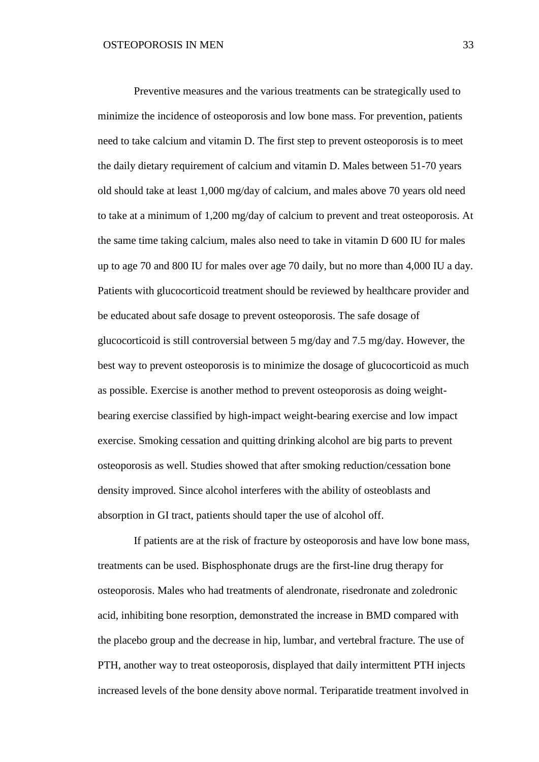Preventive measures and the various treatments can be strategically used to minimize the incidence of osteoporosis and low bone mass. For prevention, patients need to take calcium and vitamin D. The first step to prevent osteoporosis is to meet the daily dietary requirement of calcium and vitamin D. Males between 51-70 years old should take at least 1,000 mg/day of calcium, and males above 70 years old need to take at a minimum of 1,200 mg/day of calcium to prevent and treat osteoporosis. At the same time taking calcium, males also need to take in vitamin D 600 IU for males up to age 70 and 800 IU for males over age 70 daily, but no more than 4,000 IU a day. Patients with glucocorticoid treatment should be reviewed by healthcare provider and be educated about safe dosage to prevent osteoporosis. The safe dosage of glucocorticoid is still controversial between 5 mg/day and 7.5 mg/day. However, the best way to prevent osteoporosis is to minimize the dosage of glucocorticoid as much as possible. Exercise is another method to prevent osteoporosis as doing weightbearing exercise classified by high-impact weight-bearing exercise and low impact exercise. Smoking cessation and quitting drinking alcohol are big parts to prevent osteoporosis as well. Studies showed that after smoking reduction/cessation bone density improved. Since alcohol interferes with the ability of osteoblasts and absorption in GI tract, patients should taper the use of alcohol off.

If patients are at the risk of fracture by osteoporosis and have low bone mass, treatments can be used. Bisphosphonate drugs are the first-line drug therapy for osteoporosis. Males who had treatments of alendronate, risedronate and zoledronic acid, inhibiting bone resorption, demonstrated the increase in BMD compared with the placebo group and the decrease in hip, lumbar, and vertebral fracture. The use of PTH, another way to treat osteoporosis, displayed that daily intermittent PTH injects increased levels of the bone density above normal. Teriparatide treatment involved in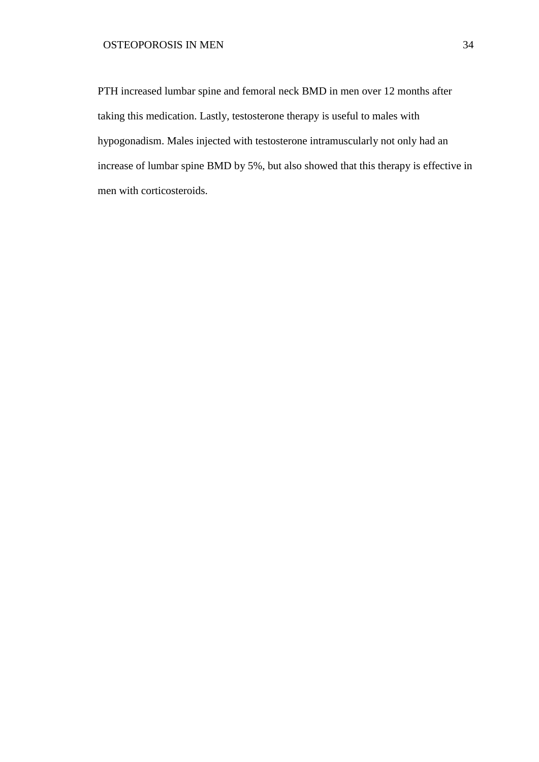PTH increased lumbar spine and femoral neck BMD in men over 12 months after taking this medication. Lastly, testosterone therapy is useful to males with hypogonadism. Males injected with testosterone intramuscularly not only had an increase of lumbar spine BMD by 5%, but also showed that this therapy is effective in men with corticosteroids.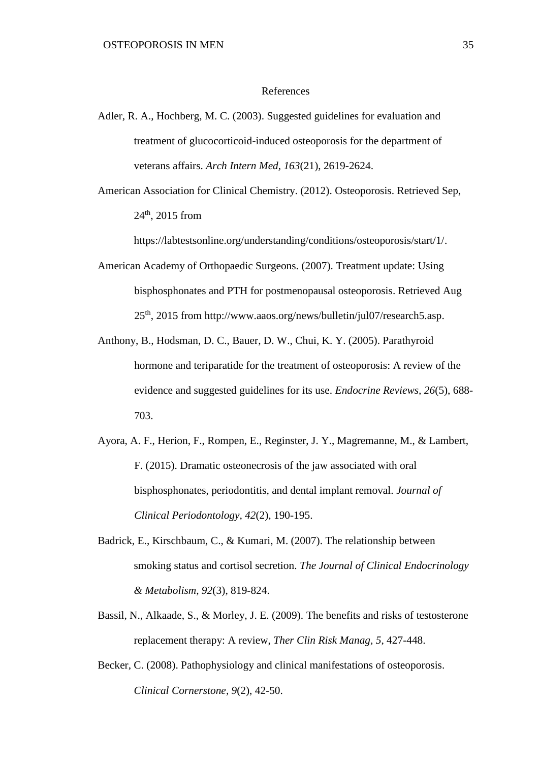## References

- Adler, R. A., Hochberg, M. C. (2003). Suggested guidelines for evaluation and treatment of glucocorticoid-induced osteoporosis for the department of veterans affairs. *Arch Intern Med, 163*(21), 2619-2624.
- American Association for Clinical Chemistry. (2012). Osteoporosis. Retrieved Sep, 24th, 2015 from

https://labtestsonline.org/understanding/conditions/osteoporosis/start/1/.

- American Academy of Orthopaedic Surgeons. (2007). Treatment update: Using bisphosphonates and PTH for postmenopausal osteoporosis. Retrieved Aug 25th, 2015 from http://www.aaos.org/news/bulletin/jul07/research5.asp.
- Anthony, B., Hodsman, D. C., Bauer, D. W., Chui, K. Y. (2005). Parathyroid hormone and teriparatide for the treatment of osteoporosis: A review of the evidence and suggested guidelines for its use. *Endocrine Reviews, 26*(5), 688- 703.
- Ayora, A. F., Herion, F., Rompen, E., Reginster, J. Y., Magremanne, M., & Lambert, F. (2015). Dramatic osteonecrosis of the jaw associated with oral bisphosphonates, periodontitis, and dental implant removal. *Journal of Clinical Periodontology, 42*(2), 190-195.
- Badrick, E., Kirschbaum, C., & Kumari, M. (2007). The relationship between smoking status and cortisol secretion. *The Journal of Clinical Endocrinology & Metabolism, 92*(3), 819-824.
- Bassil, N., Alkaade, S., & Morley, J. E. (2009). The benefits and risks of testosterone replacement therapy: A review, *Ther Clin Risk Manag, 5*, 427-448.
- Becker, C. (2008). Pathophysiology and clinical manifestations of osteoporosis. *Clinical Cornerstone, 9*(2), 42-50.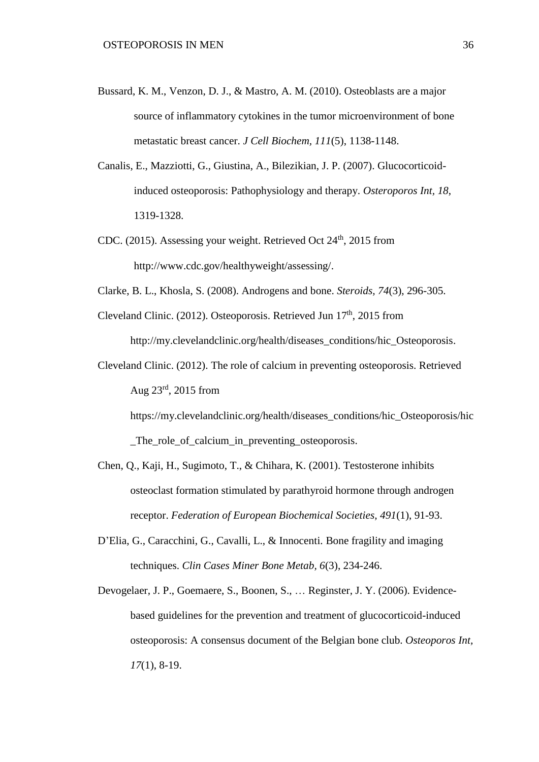- Bussard, K. M., Venzon, D. J., & Mastro, A. M. (2010). Osteoblasts are a major source of inflammatory cytokines in the tumor microenvironment of bone metastatic breast cancer. *J Cell Biochem, 111*(5), 1138-1148.
- Canalis, E., Mazziotti, G., Giustina, A., Bilezikian, J. P. (2007). Glucocorticoidinduced osteoporosis: Pathophysiology and therapy. *Osteroporos Int, 18*, 1319-1328.
- CDC. (2015). Assessing your weight. Retrieved Oct  $24<sup>th</sup>$ , 2015 from http://www.cdc.gov/healthyweight/assessing/.
- Clarke, B. L., Khosla, S. (2008). Androgens and bone. *Steroids, 74*(3), 296-305.
- Cleveland Clinic. (2012). Osteoporosis. Retrieved Jun  $17<sup>th</sup>$ , 2015 from http://my.clevelandclinic.org/health/diseases\_conditions/hic\_Osteoporosis.
- Cleveland Clinic. (2012). The role of calcium in preventing osteoporosis. Retrieved Aug  $23^{\text{rd}}$ , 2015 from

https://my.clevelandclinic.org/health/diseases\_conditions/hic\_Osteoporosis/hic The role of calcium in preventing osteoporosis.

- Chen, Q., Kaji, H., Sugimoto, T., & Chihara, K. (2001). Testosterone inhibits osteoclast formation stimulated by parathyroid hormone through androgen receptor. *Federation of European Biochemical Societies, 491*(1), 91-93.
- D'Elia, G., Caracchini, G., Cavalli, L., & Innocenti. Bone fragility and imaging techniques. *Clin Cases Miner Bone Metab, 6*(3), 234-246.
- Devogelaer, J. P., Goemaere, S., Boonen, S., … Reginster, J. Y. (2006). Evidencebased guidelines for the prevention and treatment of glucocorticoid-induced osteoporosis: A consensus document of the Belgian bone club. *Osteoporos Int, 17*(1), 8-19.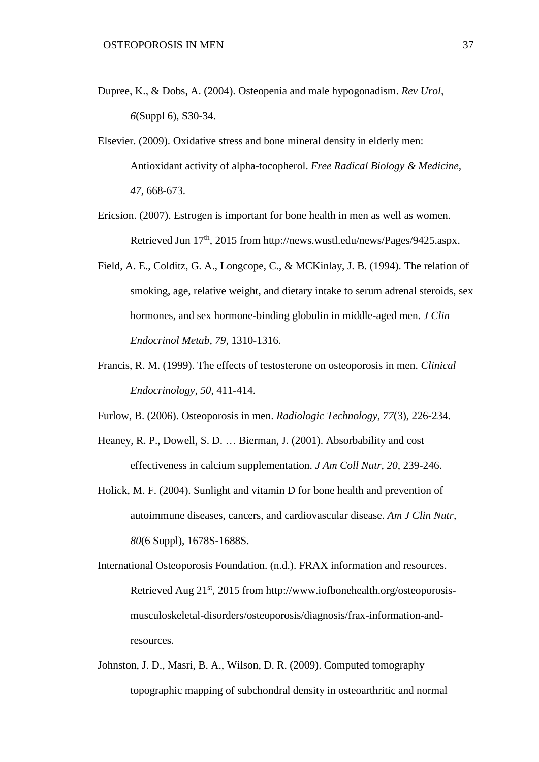- Dupree, K., & Dobs, A. (2004). Osteopenia and male hypogonadism. *Rev Urol, 6*(Suppl 6), S30-34.
- Elsevier. (2009). Oxidative stress and bone mineral density in elderly men: Antioxidant activity of alpha-tocopherol. *Free Radical Biology & Medicine, 47*, 668-673.
- Ericsion. (2007). Estrogen is important for bone health in men as well as women. Retrieved Jun 17<sup>th</sup>, 2015 from http://news.wustl.edu/news/Pages/9425.aspx.
- Field, A. E., Colditz, G. A., Longcope, C., & MCKinlay, J. B. (1994). The relation of smoking, age, relative weight, and dietary intake to serum adrenal steroids, sex hormones, and sex hormone-binding globulin in middle-aged men. *J Clin Endocrinol Metab, 79*, 1310-1316.
- Francis, R. M. (1999). The effects of testosterone on osteoporosis in men. *Clinical Endocrinology, 50*, 411-414.
- Furlow, B. (2006). Osteoporosis in men. *Radiologic Technology, 77*(3), 226-234.
- Heaney, R. P., Dowell, S. D. … Bierman, J. (2001). Absorbability and cost effectiveness in calcium supplementation. *J Am Coll Nutr, 20*, 239-246.
- Holick, M. F. (2004). Sunlight and vitamin D for bone health and prevention of autoimmune diseases, cancers, and cardiovascular disease. *Am J Clin Nutr, 80*(6 Suppl), 1678S-1688S.
- International Osteoporosis Foundation. (n.d.). FRAX information and resources. Retrieved Aug 21<sup>st</sup>, 2015 from http://www.iofbonehealth.org/osteoporosismusculoskeletal-disorders/osteoporosis/diagnosis/frax-information-andresources.
- Johnston, J. D., Masri, B. A., Wilson, D. R. (2009). Computed tomography topographic mapping of subchondral density in osteoarthritic and normal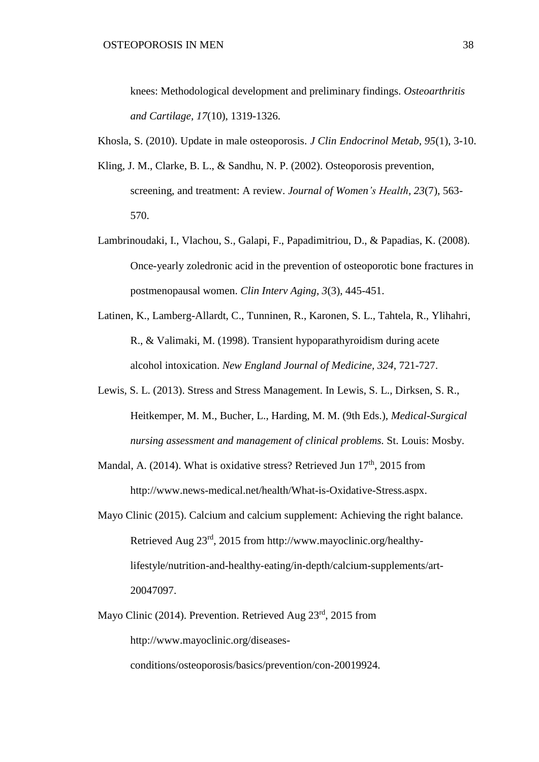knees: Methodological development and preliminary findings. *Osteoarthritis and Cartilage, 17*(10), 1319-1326.

- Khosla, S. (2010). Update in male osteoporosis. *J Clin Endocrinol Metab, 95*(1), 3-10.
- Kling, J. M., Clarke, B. L., & Sandhu, N. P. (2002). Osteoporosis prevention, screening, and treatment: A review. *Journal of Women's Health, 23*(7), 563- 570.
- Lambrinoudaki, I., Vlachou, S., Galapi, F., Papadimitriou, D., & Papadias, K. (2008). Once-yearly zoledronic acid in the prevention of osteoporotic bone fractures in postmenopausal women. *Clin Interv Aging, 3*(3), 445-451.
- Latinen, K., Lamberg-Allardt, C., Tunninen, R., Karonen, S. L., Tahtela, R., Ylihahri, R., & Valimaki, M. (1998). Transient hypoparathyroidism during acete alcohol intoxication. *New England Journal of Medicine, 324*, 721-727.
- Lewis, S. L. (2013). Stress and Stress Management. In Lewis, S. L., Dirksen, S. R., Heitkemper, M. M., Bucher, L., Harding, M. M. (9th Eds.), *Medical-Surgical nursing assessment and management of clinical problems.* St. Louis: Mosby.
- Mandal, A. (2014). What is oxidative stress? Retrieved Jun  $17<sup>th</sup>$ , 2015 from http://www.news-medical.net/health/What-is-Oxidative-Stress.aspx.
- Mayo Clinic (2015). Calcium and calcium supplement: Achieving the right balance. Retrieved Aug 23rd, 2015 from http://www.mayoclinic.org/healthylifestyle/nutrition-and-healthy-eating/in-depth/calcium-supplements/art-20047097.
- Mayo Clinic (2014). Prevention. Retrieved Aug 23<sup>rd</sup>, 2015 from http://www.mayoclinic.org/diseases-

conditions/osteoporosis/basics/prevention/con-20019924.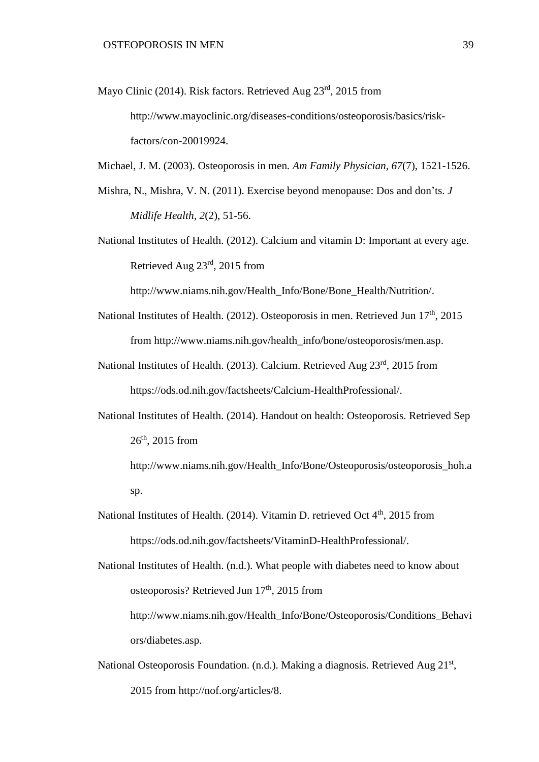Mayo Clinic (2014). Risk factors. Retrieved Aug 23<sup>rd</sup>, 2015 from http://www.mayoclinic.org/diseases-conditions/osteoporosis/basics/riskfactors/con-20019924.

Michael, J. M. (2003). Osteoporosis in men*. Am Family Physician, 67*(7), 1521-1526.

- Mishra, N., Mishra, V. N. (2011). Exercise beyond menopause: Dos and don'ts. *J Midlife Health, 2*(2), 51-56.
- National Institutes of Health. (2012). Calcium and vitamin D: Important at every age. Retrieved Aug 23rd, 2015 from

http://www.niams.nih.gov/Health\_Info/Bone/Bone\_Health/Nutrition/.

- National Institutes of Health. (2012). Osteoporosis in men. Retrieved Jun  $17<sup>th</sup>$ , 2015 from http://www.niams.nih.gov/health\_info/bone/osteoporosis/men.asp.
- National Institutes of Health. (2013). Calcium. Retrieved Aug 23rd, 2015 from https://ods.od.nih.gov/factsheets/Calcium-HealthProfessional/.
- National Institutes of Health. (2014). Handout on health: Osteoporosis. Retrieved Sep  $26<sup>th</sup>$ , 2015 from

http://www.niams.nih.gov/Health\_Info/Bone/Osteoporosis/osteoporosis\_hoh.a sp.

National Institutes of Health. (2014). Vitamin D. retrieved Oct 4<sup>th</sup>, 2015 from https://ods.od.nih.gov/factsheets/VitaminD-HealthProfessional/.

National Institutes of Health. (n.d.). What people with diabetes need to know about osteoporosis? Retrieved Jun 17<sup>th</sup>, 2015 from http://www.niams.nih.gov/Health\_Info/Bone/Osteoporosis/Conditions\_Behavi ors/diabetes.asp.

National Osteoporosis Foundation. (n.d.). Making a diagnosis. Retrieved Aug 21<sup>st</sup>, 2015 from http://nof.org/articles/8.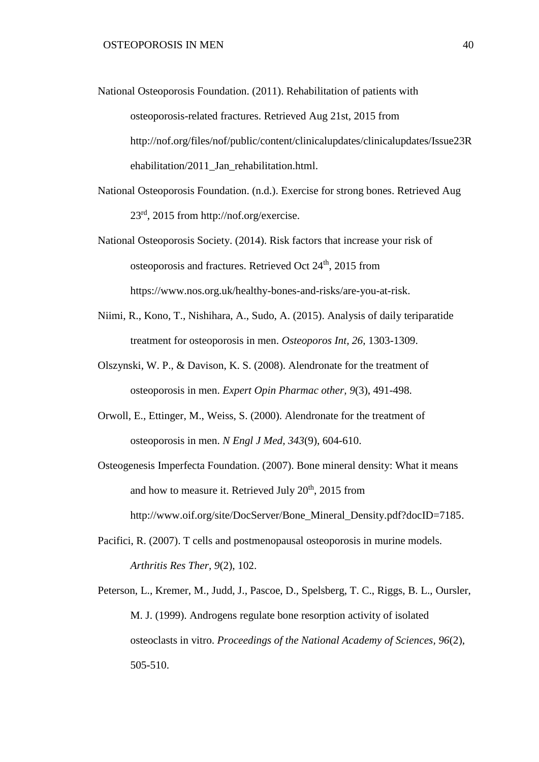- National Osteoporosis Foundation. (2011). Rehabilitation of patients with osteoporosis-related fractures. Retrieved Aug 21st, 2015 from http://nof.org/files/nof/public/content/clinicalupdates/clinicalupdates/Issue23R ehabilitation/2011 Jan rehabilitation.html.
- National Osteoporosis Foundation. (n.d.). Exercise for strong bones. Retrieved Aug 23rd, 2015 from http://nof.org/exercise.
- National Osteoporosis Society. (2014). Risk factors that increase your risk of osteoporosis and fractures. Retrieved Oct 24<sup>th</sup>, 2015 from https://www.nos.org.uk/healthy-bones-and-risks/are-you-at-risk.
- Niimi, R., Kono, T., Nishihara, A., Sudo, A. (2015). Analysis of daily teriparatide treatment for osteoporosis in men. *Osteoporos Int, 26*, 1303-1309.
- Olszynski, W. P., & Davison, K. S. (2008). Alendronate for the treatment of osteoporosis in men. *Expert Opin Pharmac other, 9*(3), 491-498.
- Orwoll, E., Ettinger, M., Weiss, S. (2000). Alendronate for the treatment of osteoporosis in men. *N Engl J Med, 343*(9), 604-610.
- Osteogenesis Imperfecta Foundation. (2007). Bone mineral density: What it means and how to measure it. Retrieved July 20<sup>th</sup>, 2015 from http://www.oif.org/site/DocServer/Bone Mineral Density.pdf?docID=7185.
- Pacifici, R. (2007). T cells and postmenopausal osteoporosis in murine models. *Arthritis Res Ther, 9*(2), 102.
- Peterson, L., Kremer, M., Judd, J., Pascoe, D., Spelsberg, T. C., Riggs, B. L., Oursler, M. J. (1999). Androgens regulate bone resorption activity of isolated osteoclasts in vitro. *Proceedings of the National Academy of Sciences, 96*(2), 505-510.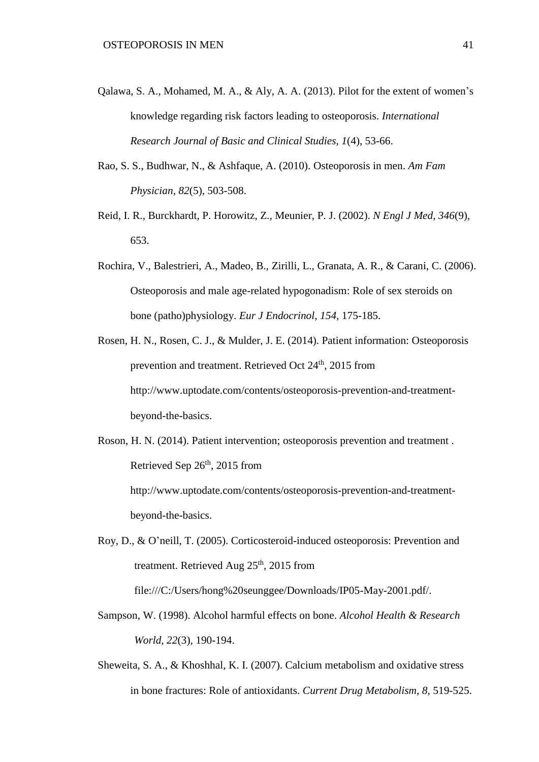- Qalawa, S. A., Mohamed, M. A., & Aly, A. A. (2013). Pilot for the extent of women's knowledge regarding risk factors leading to osteoporosis. *International Research Journal of Basic and Clinical Studies, 1*(4), 53-66.
- Rao, S. S., Budhwar, N., & Ashfaque, A. (2010). Osteoporosis in men. *Am Fam Physician, 82*(5), 503-508.
- Reid, I. R., Burckhardt, P. Horowitz, Z., Meunier, P. J. (2002). *N Engl J Med, 346*(9), 653.
- Rochira, V., Balestrieri, A., Madeo, B., Zirilli, L., Granata, A. R., & Carani, C. (2006). Osteoporosis and male age-related hypogonadism: Role of sex steroids on bone (patho)physiology. *Eur J Endocrinol, 154,* 175-185.
- Rosen, H. N., Rosen, C. J., & Mulder, J. E. (2014). Patient information: Osteoporosis prevention and treatment. Retrieved Oct 24<sup>th</sup>, 2015 from http://www.uptodate.com/contents/osteoporosis-prevention-and-treatmentbeyond-the-basics.
- Roson, H. N. (2014). Patient intervention; osteoporosis prevention and treatment . Retrieved Sep  $26<sup>th</sup>$ , 2015 from http://www.uptodate.com/contents/osteoporosis-prevention-and-treatmentbeyond-the-basics.
- Roy, D., & O'neill, T. (2005). Corticosteroid-induced osteoporosis: Prevention and treatment. Retrieved Aug  $25<sup>th</sup>$ , 2015 from
	- file:///C:/Users/hong%20seunggee/Downloads/IP05-May-2001.pdf/.
- Sampson, W. (1998). Alcohol harmful effects on bone. *Alcohol Health & Research World, 22*(3), 190-194.
- Sheweita, S. A., & Khoshhal, K. I. (2007). Calcium metabolism and oxidative stress in bone fractures: Role of antioxidants. *Current Drug Metabolism, 8*, 519-525.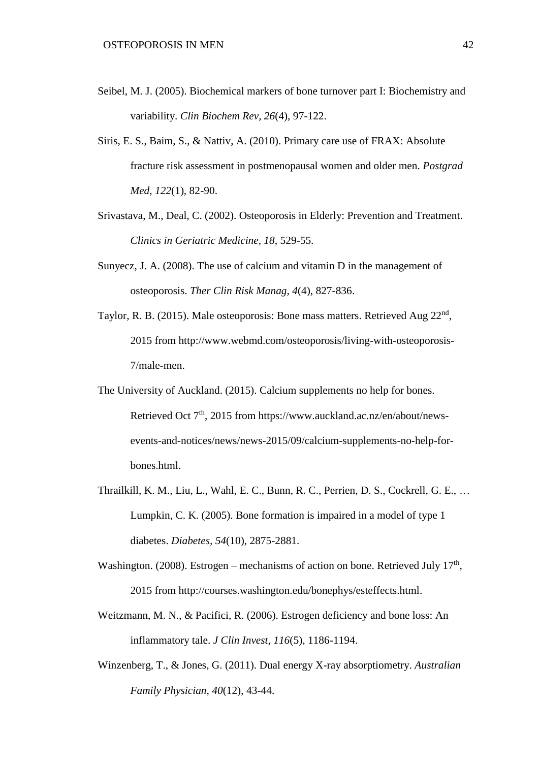- Seibel, M. J. (2005). Biochemical markers of bone turnover part I: Biochemistry and variability. *Clin Biochem Rev, 26*(4), 97-122.
- Siris, E. S., Baim, S., & Nattiv, A. (2010). Primary care use of FRAX: Absolute fracture risk assessment in postmenopausal women and older men. *Postgrad Med, 122*(1), 82-90.
- Srivastava, M., Deal, C. (2002). Osteoporosis in Elderly: Prevention and Treatment. *Clinics in Geriatric Medicine, 18*, 529-55.
- Sunyecz, J. A. (2008). The use of calcium and vitamin D in the management of osteoporosis. *Ther Clin Risk Manag*, *4*(4), 827-836.
- Taylor, R. B. (2015). Male osteoporosis: Bone mass matters. Retrieved Aug 22<sup>nd</sup>, 2015 from http://www.webmd.com/osteoporosis/living-with-osteoporosis-7/male-men.
- The University of Auckland. (2015). Calcium supplements no help for bones. Retrieved Oct 7<sup>th</sup>, 2015 from https://www.auckland.ac.nz/en/about/newsevents-and-notices/news/news-2015/09/calcium-supplements-no-help-forbones.html.
- Thrailkill, K. M., Liu, L., Wahl, E. C., Bunn, R. C., Perrien, D. S., Cockrell, G. E., … Lumpkin, C. K. (2005). Bone formation is impaired in a model of type 1 diabetes. *Diabetes, 54*(10), 2875-2881.
- Washington. (2008). Estrogen mechanisms of action on bone. Retrieved July  $17<sup>th</sup>$ , 2015 from http://courses.washington.edu/bonephys/esteffects.html.
- Weitzmann, M. N., & Pacifici, R. (2006). Estrogen deficiency and bone loss: An inflammatory tale. *J Clin Invest, 116*(5), 1186-1194.
- Winzenberg, T., & Jones, G. (2011). Dual energy X-ray absorptiometry. *Australian Family Physician, 40*(12), 43-44.